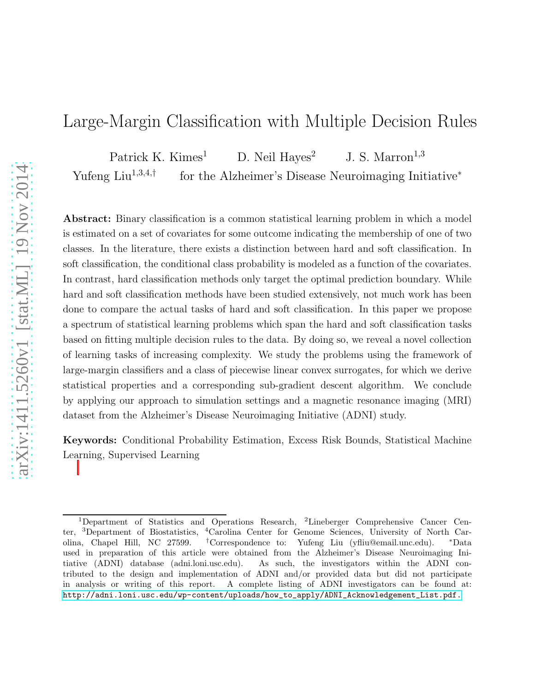# Large-Margin Classification with Multiple Decision Rules

Patrick K. Kimes<sup>1</sup> D. Neil Hayes<sup>2</sup> J. S. Marron<sup>1,3</sup>

Yufeng  $Liu^{1,3,4,\dagger}$ for the Alzheimer's Disease Neuroimaging Initiative<sup>∗</sup>

Abstract: Binary classification is a common statistical learning problem in which a model is estimated on a set of covariates for some outcome indicating the membership of one of two classes. In the literature, there exists a distinction between hard and soft classification. In soft classification, the conditional class probability is modeled as a function of the covariates. In contrast, hard classification methods only target the optimal prediction boundary. While hard and soft classification methods have been studied extensively, not much work has been done to compare the actual tasks of hard and soft classification. In this paper we propose a spectrum of statistical learning problems which span the hard and soft classification tasks based on fitting multiple decision rules to the data. By doing so, we reveal a novel collection of learning tasks of increasing complexity. We study the problems using the framework of large-margin classifiers and a class of piecewise linear convex surrogates, for which we derive statistical properties and a corresponding sub-gradient descent algorithm. We conclude by applying our approach to simulation settings and a magnetic resonance imaging (MRI) dataset from the Alzheimer's Disease Neuroimaging Initiative (ADNI) study.

Keywords: Conditional Probability Estimation, Excess Risk Bounds, Statistical Machine Learning, Supervised Learning

<sup>1</sup>Department of Statistics and Operations Research, <sup>2</sup>Lineberger Comprehensive Cancer Center, <sup>3</sup>Department of Biostatistics, <sup>4</sup>Carolina Center for Genome Sciences, University of North Carolina, Chapel Hill, NC 27599. †Correspondence to: Yufeng Liu (yfliu@email.unc.edu). <sup>∗</sup>Data used in preparation of this article were obtained from the Alzheimer's Disease Neuroimaging Initiative (ADNI) database (adni.loni.usc.edu). As such, the investigators within the ADNI contributed to the design and implementation of ADNI and/or provided data but did not participate in analysis or writing of this report. A complete listing of ADNI investigators can be found at: [http://adni.loni.usc.edu/wp-content/uploads/how\\_to\\_apply/ADNI\\_Acknowledgement\\_List.pdf.](http://adni.loni.usc.edu/wp-content/uploads/how_to_apply/ADNI_Acknowledgement_List.pdf.)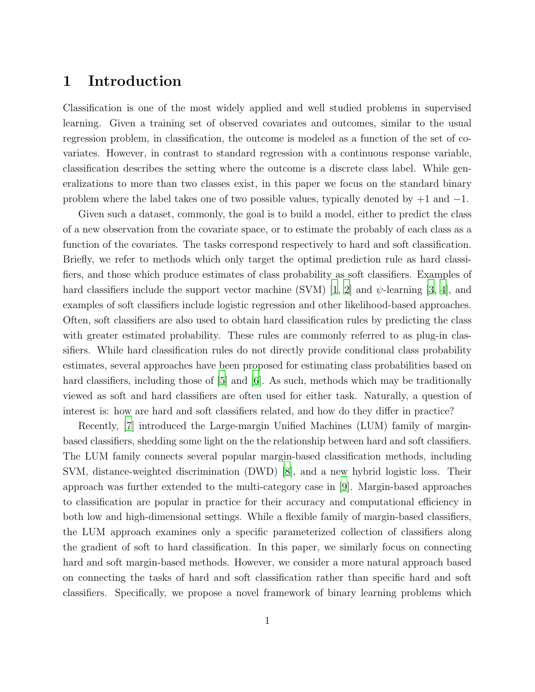## 1 Introduction

Classification is one of the most widely applied and well studied problems in supervised learning. Given a training set of observed covariates and outcomes, similar to the usual regression problem, in classification, the outcome is modeled as a function of the set of covariates. However, in contrast to standard regression with a continuous response variable, classification describes the setting where the outcome is a discrete class label. While generalizations to more than two classes exist, in this paper we focus on the standard binary problem where the label takes one of two possible values, typically denoted by  $+1$  and  $-1$ .

Given such a dataset, commonly, the goal is to build a model, either to predict the class of a new observation from the covariate space, or to estimate the probably of each class as a function of the covariates. The tasks correspond respectively to hard and soft classification. Briefly, we refer to methods which only target the optimal prediction rule as hard classifiers, and those which produce estimates of class probability as soft classifiers. Examples of hard classifiers include the support vector machine (SVM) [\[1,](#page-27-0) [2\]](#page-27-1) and  $\psi$ -learning [\[3,](#page-28-0) [4](#page-28-1)], and examples of soft classifiers include logistic regression and other likelihood-based approaches. Often, soft classifiers are also used to obtain hard classification rules by predicting the class with greater estimated probability. These rules are commonly referred to as plug-in classifiers. While hard classification rules do not directly provide conditional class probability estimates, several approaches have been proposed for estimating class probabilities based on hard classifiers, including those of [\[5\]](#page-28-2) and [\[6](#page-28-3)]. As such, methods which may be traditionally viewed as soft and hard classifiers are often used for either task. Naturally, a question of interest is: how are hard and soft classifiers related, and how do they differ in practice?

Recently, [\[7\]](#page-28-4) introduced the Large-margin Unified Machines (LUM) family of marginbased classifiers, shedding some light on the the relationship between hard and soft classifiers. The LUM family connects several popular margin-based classification methods, including SVM, distance-weighted discrimination (DWD) [\[8](#page-28-5)], and a new hybrid logistic loss. Their approach was further extended to the multi-category case in [\[9](#page-28-6)]. Margin-based approaches to classification are popular in practice for their accuracy and computational efficiency in both low and high-dimensional settings. While a flexible family of margin-based classifiers, the LUM approach examines only a specific parameterized collection of classifiers along the gradient of soft to hard classification. In this paper, we similarly focus on connecting hard and soft margin-based methods. However, we consider a more natural approach based on connecting the tasks of hard and soft classification rather than specific hard and soft classifiers. Specifically, we propose a novel framework of binary learning problems which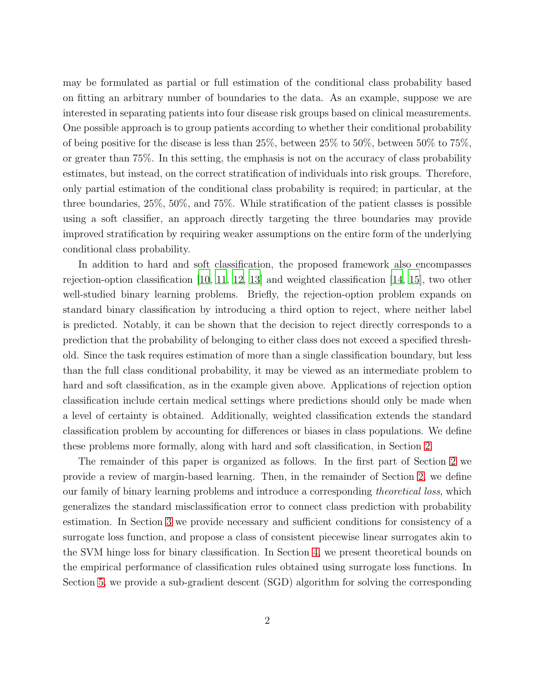may be formulated as partial or full estimation of the conditional class probability based on fitting an arbitrary number of boundaries to the data. As an example, suppose we are interested in separating patients into four disease risk groups based on clinical measurements. One possible approach is to group patients according to whether their conditional probability of being positive for the disease is less than 25%, between 25% to 50%, between 50% to 75%, or greater than 75%. In this setting, the emphasis is not on the accuracy of class probability estimates, but instead, on the correct stratification of individuals into risk groups. Therefore, only partial estimation of the conditional class probability is required; in particular, at the three boundaries, 25%, 50%, and 75%. While stratification of the patient classes is possible using a soft classifier, an approach directly targeting the three boundaries may provide improved stratification by requiring weaker assumptions on the entire form of the underlying conditional class probability.

In addition to hard and soft classification, the proposed framework also encompasses rejection-option classification [\[10](#page-28-7), [11](#page-28-8), [12,](#page-28-9) [13\]](#page-28-10) and weighted classification [\[14,](#page-28-11) [15](#page-28-12)], two other well-studied binary learning problems. Briefly, the rejection-option problem expands on standard binary classification by introducing a third option to reject, where neither label is predicted. Notably, it can be shown that the decision to reject directly corresponds to a prediction that the probability of belonging to either class does not exceed a specified threshold. Since the task requires estimation of more than a single classification boundary, but less than the full class conditional probability, it may be viewed as an intermediate problem to hard and soft classification, as in the example given above. Applications of rejection option classification include certain medical settings where predictions should only be made when a level of certainty is obtained. Additionally, weighted classification extends the standard classification problem by accounting for differences or biases in class populations. We define these problems more formally, along with hard and soft classification, in Section [2.](#page-32-0)

The remainder of this paper is organized as follows. In the first part of Section [2](#page-32-0) we provide a review of margin-based learning. Then, in the remainder of Section [2,](#page-32-0) we define our family of binary learning problems and introduce a corresponding *theoretical loss*, which generalizes the standard misclassification error to connect class prediction with probability estimation. In Section [3](#page-32-1) we provide necessary and sufficient conditions for consistency of a surrogate loss function, and propose a class of consistent piecewise linear surrogates akin to the SVM hinge loss for binary classification. In Section [4,](#page-33-0) we present theoretical bounds on the empirical performance of classification rules obtained using surrogate loss functions. In Section [5,](#page-33-1) we provide a sub-gradient descent (SGD) algorithm for solving the corresponding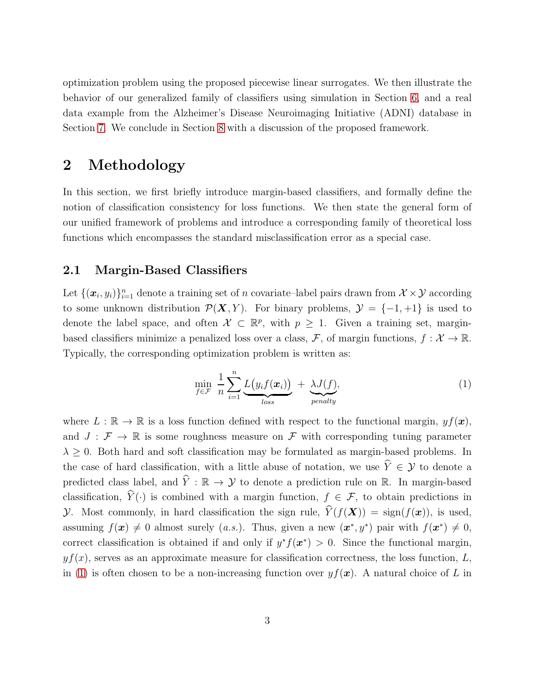optimization problem using the proposed piecewise linear surrogates. We then illustrate the behavior of our generalized family of classifiers using simulation in Section [6,](#page-34-0) and a real data example from the Alzheimer's Disease Neuroimaging Initiative (ADNI) database in Section [7.](#page-36-0) We conclude in Section [8](#page-38-0) with a discussion of the proposed framework.

## 2 Methodology

In this section, we first briefly introduce margin-based classifiers, and formally define the notion of classification consistency for loss functions. We then state the general form of our unified framework of problems and introduce a corresponding family of theoretical loss functions which encompasses the standard misclassification error as a special case.

### <span id="page-3-1"></span>2.1 Margin-Based Classifiers

Let  $\{(\bm{x}_i, y_i)\}_{i=1}^n$  denote a training set of n covariate–label pairs drawn from  $\mathcal{X} \times \mathcal{Y}$  according to some unknown distribution  $\mathcal{P}(X, Y)$ . For binary problems,  $\mathcal{Y} = \{-1, +1\}$  is used to denote the label space, and often  $\mathcal{X} \subset \mathbb{R}^p$ , with  $p \geq 1$ . Given a training set, marginbased classifiers minimize a penalized loss over a class,  $\mathcal{F}$ , of margin functions,  $f: \mathcal{X} \to \mathbb{R}$ . Typically, the corresponding optimization problem is written as:

<span id="page-3-0"></span>
$$
\min_{f \in \mathcal{F}} \frac{1}{n} \sum_{i=1}^{n} \underbrace{L(y_i f(\boldsymbol{x}_i))}_{loss} + \underbrace{\lambda J(f)}_{penalty}, \tag{1}
$$

where  $L : \mathbb{R} \to \mathbb{R}$  is a loss function defined with respect to the functional margin,  $y f(x)$ , and  $J : \mathcal{F} \to \mathbb{R}$  is some roughness measure on  $\mathcal{F}$  with corresponding tuning parameter  $\lambda \geq 0$ . Both hard and soft classification may be formulated as margin-based problems. In the case of hard classification, with a little abuse of notation, we use  $\hat{Y} \in \mathcal{Y}$  to denote a predicted class label, and  $\hat{Y}: \mathbb{R} \to Y$  to denote a prediction rule on R. In margin-based classification,  $\hat{Y}(\cdot)$  is combined with a margin function,  $f \in \mathcal{F}$ , to obtain predictions in y. Most commonly, in hard classification the sign rule,  $\hat{Y}(f(\boldsymbol{X})) = \text{sign}(f(\boldsymbol{x}))$ , is used, assuming  $f(\mathbf{x}) \neq 0$  almost surely (*a.s.*). Thus, given a new  $(\mathbf{x}^*, y^*)$  pair with  $f(\mathbf{x}^*) \neq 0$ , correct classification is obtained if and only if  $y^* f(x^*) > 0$ . Since the functional margin,  $yf(x)$ , serves as an approximate measure for classification correctness, the loss function, L, in [\(1\)](#page-3-0) is often chosen to be a non-increasing function over  $y f(x)$ . A natural choice of L in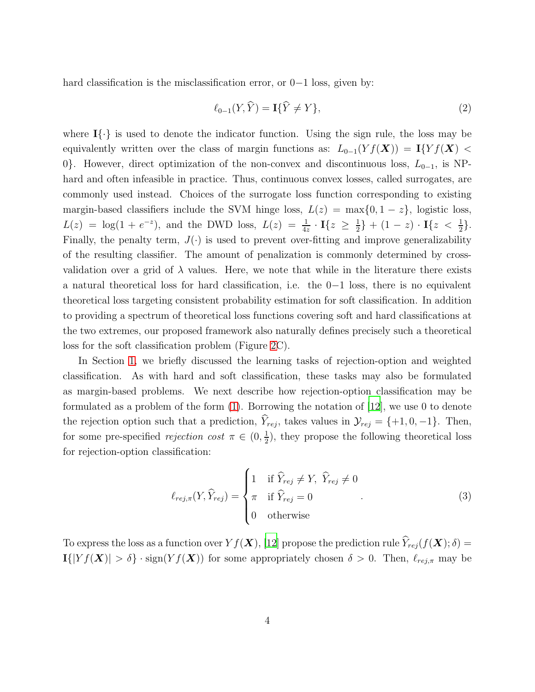hard classification is the misclassification error, or 0−1 loss, given by:

<span id="page-4-0"></span>
$$
\ell_{0-1}(Y,\hat{Y}) = \mathbf{I}\{\hat{Y} \neq Y\},\tag{2}
$$

where  $I\{\cdot\}$  is used to denote the indicator function. Using the sign rule, the loss may be equivalently written over the class of margin functions as:  $L_{0-1}(Yf(\boldsymbol{X})) = \mathbf{I}\{Yf(\boldsymbol{X})\}$ 0}. However, direct optimization of the non-convex and discontinuous loss,  $L_{0-1}$ , is NPhard and often infeasible in practice. Thus, continuous convex losses, called surrogates, are commonly used instead. Choices of the surrogate loss function corresponding to existing margin-based classifiers include the SVM hinge loss,  $L(z) = \max\{0, 1 - z\}$ , logistic loss,  $L(z) = \log(1 + e^{-z}),$  and the DWD loss,  $L(z) = \frac{1}{4z} \cdot \mathbf{I}\{z \geq \frac{1}{2}\}$  $\frac{1}{2}$ } + (1 – z) · I{z <  $\frac{1}{2}$  }. Finally, the penalty term,  $J(\cdot)$  is used to prevent over-fitting and improve generalizability of the resulting classifier. The amount of penalization is commonly determined by crossvalidation over a grid of  $\lambda$  values. Here, we note that while in the literature there exists a natural theoretical loss for hard classification, i.e. the 0−1 loss, there is no equivalent theoretical loss targeting consistent probability estimation for soft classification. In addition to providing a spectrum of theoretical loss functions covering soft and hard classifications at the two extremes, our proposed framework also naturally defines precisely such a theoretical loss for the soft classification problem (Figure [2C](#page-9-0)).

In Section [1,](#page-30-0) we briefly discussed the learning tasks of rejection-option and weighted classification. As with hard and soft classification, these tasks may also be formulated as margin-based problems. We next describe how rejection-option classification may be formulated as a problem of the form [\(1\)](#page-3-0). Borrowing the notation of [\[12](#page-28-9)], we use 0 to denote the rejection option such that a prediction,  $\hat{Y}_{rej}$ , takes values in  $\mathcal{Y}_{rej} = \{+1, 0, -1\}$ . Then, for some pre-specified *rejection cost*  $\pi \in (0, \frac{1}{2})$  $\frac{1}{2}$ , they propose the following theoretical loss for rejection-option classification:

<span id="page-4-1"></span>
$$
\ell_{rej,\pi}(Y,\widehat{Y}_{rej}) = \begin{cases} 1 & \text{if } \widehat{Y}_{rej} \neq Y, \ \widehat{Y}_{rej} \neq 0 \\ \pi & \text{if } \widehat{Y}_{rej} = 0 \\ 0 & \text{otherwise} \end{cases}
$$
 (3)

To express the loss as a function over  $Yf(\boldsymbol{X})$ , [\[12\]](#page-28-9) propose the prediction rule  $\widehat{Y}_{rej}(f(\boldsymbol{X}); \delta) =$  $\mathbf{I}(|Yf(\boldsymbol{X})| > \delta$  · sign $(Yf(\boldsymbol{X}))$  for some appropriately chosen  $\delta > 0$ . Then,  $\ell_{rej,\pi}$  may be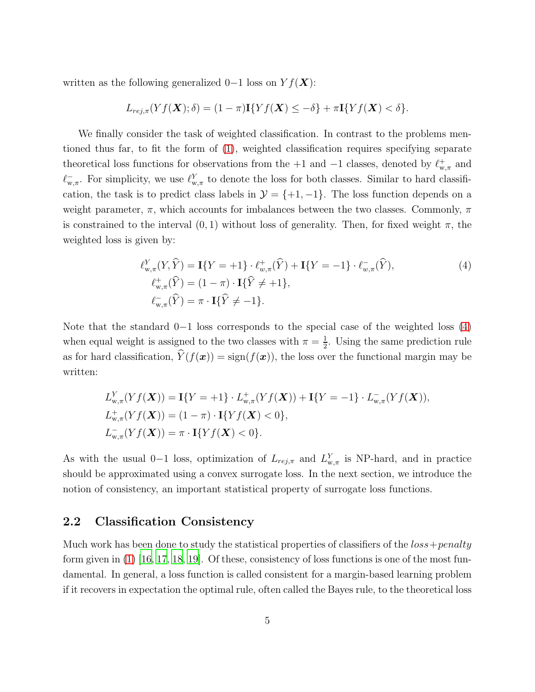written as the following generalized 0−1 loss on  $Yf(\boldsymbol{X})$ :

$$
L_{rej,\pi}(Yf(\mathbf{X});\delta) = (1-\pi)\mathbf{I}\{Yf(\mathbf{X}) \leq -\delta\} + \pi\mathbf{I}\{Yf(\mathbf{X}) < \delta\}.
$$

We finally consider the task of weighted classification. In contrast to the problems mentioned thus far, to fit the form of [\(1\)](#page-3-0), weighted classification requires specifying separate theoretical loss functions for observations from the +1 and  $-1$  classes, denoted by  $\ell_{w,\pi}^+$  and  $\ell_{w,\pi}^-$ . For simplicity, we use  $\ell_{w,\pi}^Y$  to denote the loss for both classes. Similar to hard classification, the task is to predict class labels in  $\mathcal{Y} = \{+1, -1\}$ . The loss function depends on a weight parameter,  $\pi$ , which accounts for imbalances between the two classes. Commonly,  $\pi$ is constrained to the interval  $(0, 1)$  without loss of generality. Then, for fixed weight  $\pi$ , the weighted loss is given by:

<span id="page-5-0"></span>
$$
\ell_{w,\pi}^{Y}(Y,\hat{Y}) = \mathbf{I}\{Y = +1\} \cdot \ell_{w,\pi}^{+}(\hat{Y}) + \mathbf{I}\{Y = -1\} \cdot \ell_{w,\pi}^{-}(\hat{Y}),
$$
\n
$$
\ell_{w,\pi}^{+}(\hat{Y}) = (1 - \pi) \cdot \mathbf{I}\{\hat{Y} \neq +1\},
$$
\n
$$
\ell_{w,\pi}^{-}(\hat{Y}) = \pi \cdot \mathbf{I}\{\hat{Y} \neq -1\}.
$$
\n(4)

Note that the standard 0−1 loss corresponds to the special case of the weighted loss [\(4\)](#page-5-0) when equal weight is assigned to the two classes with  $\pi = \frac{1}{2}$  $\frac{1}{2}$ . Using the same prediction rule as for hard classification,  $\hat{Y}(f(\boldsymbol{x})) = \text{sign}(f(\boldsymbol{x}))$ , the loss over the functional margin may be written:

$$
L_{w,\pi}^Y(Yf(\mathbf{X})) = \mathbf{I}\{Y = +1\} \cdot L_{w,\pi}^+(Yf(\mathbf{X})) + \mathbf{I}\{Y = -1\} \cdot L_{w,\pi}^-(Yf(\mathbf{X})),
$$
  
\n
$$
L_{w,\pi}^+(Yf(\mathbf{X})) = (1 - \pi) \cdot \mathbf{I}\{Yf(\mathbf{X}) < 0\},
$$
  
\n
$$
L_{w,\pi}^-(Yf(\mathbf{X})) = \pi \cdot \mathbf{I}\{Yf(\mathbf{X}) < 0\}.
$$

As with the usual 0-1 loss, optimization of  $L_{rej,\pi}$  and  $L_{w,\pi}^Y$  is NP-hard, and in practice should be approximated using a convex surrogate loss. In the next section, we introduce the notion of consistency, an important statistical property of surrogate loss functions.

### 2.2 Classification Consistency

Much work has been done to study the statistical properties of classifiers of the  $loss+penalty$ form given in  $(1)$  [\[16,](#page-28-13) [17](#page-28-14), [18](#page-28-15), [19\]](#page-29-0). Of these, consistency of loss functions is one of the most fundamental. In general, a loss function is called consistent for a margin-based learning problem if it recovers in expectation the optimal rule, often called the Bayes rule, to the theoretical loss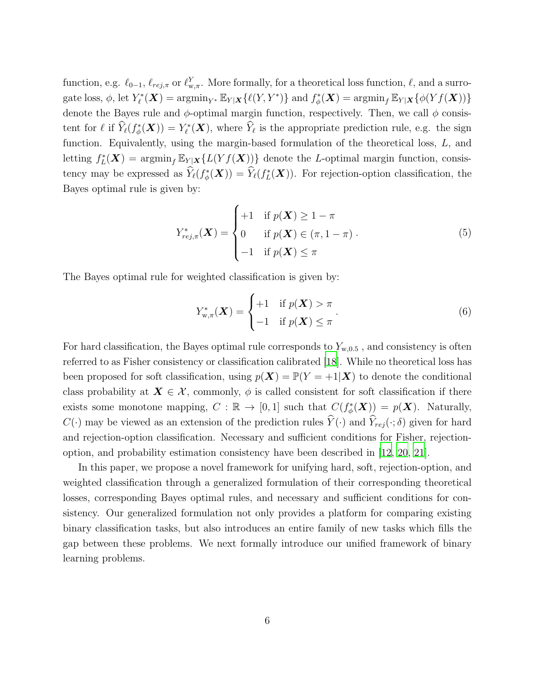function, e.g.  $\ell_{0-1}$ ,  $\ell_{rej,\pi}$  or  $\ell_{w,\pi}^Y$ . More formally, for a theoretical loss function,  $\ell$ , and a surrogate loss,  $\phi$ , let  $Y_{\ell}^*(\mathbf{X}) = \operatorname{argmin}_{Y^*} \mathbb{E}_{Y|\mathbf{X}}\{\ell(Y, Y^*)\}$  and  $f_{\phi}^*(\mathbf{X}) = \operatorname{argmin}_f \mathbb{E}_{Y|\mathbf{X}}\{\phi(Yf(\mathbf{X}))\}$ denote the Bayes rule and  $\phi$ -optimal margin function, respectively. Then, we call  $\phi$  consistent for  $\ell$  if  $\widehat{Y}_{\ell}(f_{\phi}^*(\boldsymbol{X})) = Y_{\ell}^*(\boldsymbol{X}),$  where  $\widehat{Y}_{\ell}$  is the appropriate prediction rule, e.g. the sign function. Equivalently, using the margin-based formulation of the theoretical loss, L, and letting  $f_L^*(\mathbf{X}) = \operatorname{argmin}_f \mathbb{E}_{Y|\mathbf{X}}\{L(Yf(\mathbf{X}))\}$  denote the L-optimal margin function, consistency may be expressed as  $\widehat{Y}_{\ell}(f_{\phi}^*(\boldsymbol{X})) = \widehat{Y}_{\ell}(f_L^*(\boldsymbol{X})).$  For rejection-option classification, the Bayes optimal rule is given by:

$$
Y_{rej,\pi}^*(\boldsymbol{X}) = \begin{cases} +1 & \text{if } p(\boldsymbol{X}) \ge 1-\pi \\ 0 & \text{if } p(\boldsymbol{X}) \in (\pi, 1-\pi) \\ -1 & \text{if } p(\boldsymbol{X}) \le \pi \end{cases} \tag{5}
$$

The Bayes optimal rule for weighted classification is given by:

<span id="page-6-1"></span><span id="page-6-0"></span>
$$
Y_{\mathbf{w},\pi}^*(\boldsymbol{X}) = \begin{cases} +1 & \text{if } p(\boldsymbol{X}) > \pi \\ -1 & \text{if } p(\boldsymbol{X}) \leq \pi \end{cases} \tag{6}
$$

For hard classification, the Bayes optimal rule corresponds to  $Y_{w,0.5}$ , and consistency is often referred to as Fisher consistency or classification calibrated [\[18](#page-28-15)]. While no theoretical loss has been proposed for soft classification, using  $p(X) = \mathbb{P}(Y = +1|\mathbf{X})$  to denote the conditional class probability at  $X \in \mathcal{X}$ , commonly,  $\phi$  is called consistent for soft classification if there exists some monotone mapping,  $C : \mathbb{R} \to [0,1]$  such that  $C(f_{\phi}^*(\boldsymbol{X})) = p(\boldsymbol{X})$ . Naturally,  $C(\cdot)$  may be viewed as an extension of the prediction rules  $\widehat{Y}(\cdot)$  and  $\widehat{Y}_{ref}(\cdot; \delta)$  given for hard and rejection-option classification. Necessary and sufficient conditions for Fisher, rejectionoption, and probability estimation consistency have been described in [\[12](#page-28-9), [20](#page-29-1), [21\]](#page-29-2).

In this paper, we propose a novel framework for unifying hard, soft, rejection-option, and weighted classification through a generalized formulation of their corresponding theoretical losses, corresponding Bayes optimal rules, and necessary and sufficient conditions for consistency. Our generalized formulation not only provides a platform for comparing existing binary classification tasks, but also introduces an entire family of new tasks which fills the gap between these problems. We next formally introduce our unified framework of binary learning problems.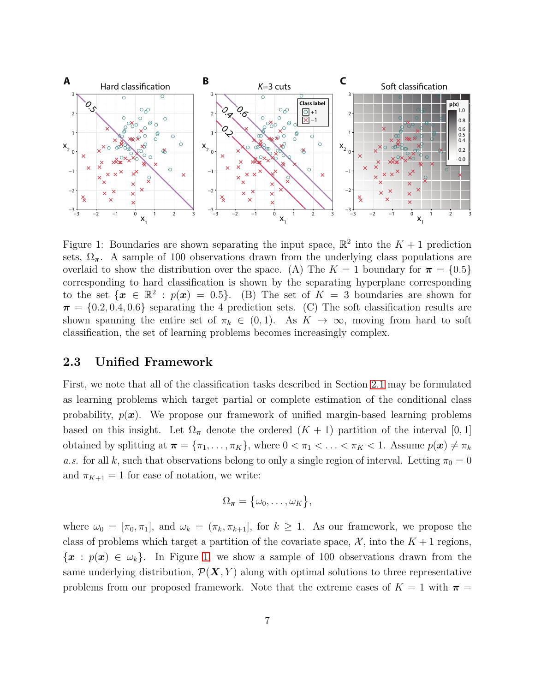

<span id="page-7-0"></span>Figure 1: Boundaries are shown separating the input space,  $\mathbb{R}^2$  into the  $K + 1$  prediction sets,  $\Omega_{\pi}$ . A sample of 100 observations drawn from the underlying class populations are overlaid to show the distribution over the space. (A) The  $K = 1$  boundary for  $\pi = \{0.5\}$ corresponding to hard classification is shown by the separating hyperplane corresponding to the set  $\{x \in \mathbb{R}^2 : p(x) = 0.5\}$ . (B) The set of  $K = 3$  boundaries are shown for  $\pi = \{0.2, 0.4, 0.6\}$  separating the 4 prediction sets. (C) The soft classification results are shown spanning the entire set of  $\pi_k \in (0,1)$ . As  $K \to \infty$ , moving from hard to soft classification, the set of learning problems becomes increasingly complex.

### 2.3 Unified Framework

First, we note that all of the classification tasks described in Section [2.1](#page-3-1) may be formulated as learning problems which target partial or complete estimation of the conditional class probability,  $p(x)$ . We propose our framework of unified margin-based learning problems based on this insight. Let  $\Omega_{\pi}$  denote the ordered  $(K + 1)$  partition of the interval [0, 1] obtained by splitting at  $\boldsymbol{\pi} = {\pi_1, \dots, \pi_K}$ , where  $0 < \pi_1 < \dots < \pi_K < 1$ . Assume  $p(\boldsymbol{x}) \neq \pi_k$ *a.s.* for all k, such that observations belong to only a single region of interval. Letting  $\pi_0 = 0$ and  $\pi_{K+1} = 1$  for ease of notation, we write:

$$
\Omega_{\boldsymbol{\pi}} = \big\{ \omega_0, \ldots, \omega_K \big\},\
$$

where  $\omega_0 = [\pi_0, \pi_1]$ , and  $\omega_k = (\pi_k, \pi_{k+1}]$ , for  $k \geq 1$ . As our framework, we propose the class of problems which target a partition of the covariate space,  $\mathcal{X}$ , into the  $K+1$  regions,  ${x : p(x) \in \omega_k}.$  In Figure [1,](#page-7-0) we show a sample of 100 observations drawn from the same underlying distribution,  $\mathcal{P}(\mathbf{X}, Y)$  along with optimal solutions to three representative problems from our proposed framework. Note that the extreme cases of  $K = 1$  with  $\pi =$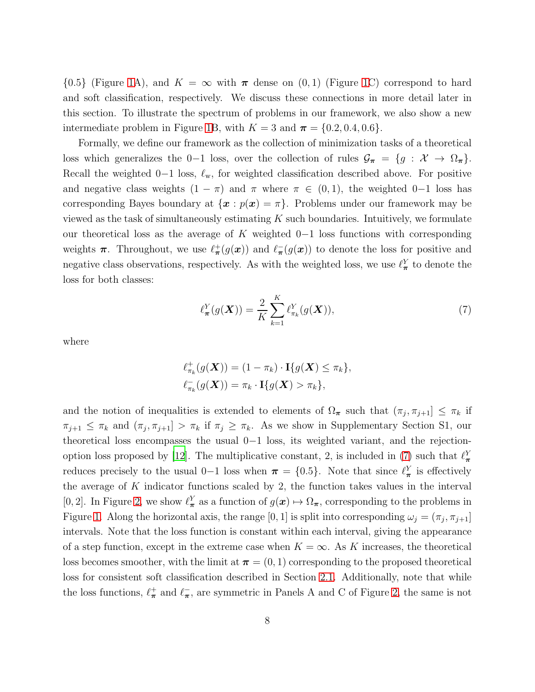$\{0.5\}$  (Figure [1A](#page-7-0)), and  $K = \infty$  with  $\pi$  dense on  $(0, 1)$  (Figure [1C](#page-7-0)) correspond to hard and soft classification, respectively. We discuss these connections in more detail later in this section. To illustrate the spectrum of problems in our framework, we also show a new intermediate problem in Figure [1B](#page-7-0), with  $K = 3$  and  $\pi = \{0.2, 0.4, 0.6\}.$ 

Formally, we define our framework as the collection of minimization tasks of a theoretical loss which generalizes the 0−1 loss, over the collection of rules  $\mathcal{G}_{\pi} = \{g : \mathcal{X} \to \Omega_{\pi}\}.$ Recall the weighted 0−1 loss,  $\ell_{w}$ , for weighted classification described above. For positive and negative class weights  $(1 - \pi)$  and  $\pi$  where  $\pi \in (0, 1)$ , the weighted 0−1 loss has corresponding Bayes boundary at  $\{x : p(x) = \pi\}$ . Problems under our framework may be viewed as the task of simultaneously estimating  $K$  such boundaries. Intuitively, we formulate our theoretical loss as the average of K weighted  $0-1$  loss functions with corresponding weights  $\pi$ . Throughout, we use  $\ell^+_{\pi}(g(x))$  and  $\ell^-_{\pi}(g(x))$  to denote the loss for positive and negative class observations, respectively. As with the weighted loss, we use  $\ell_{\pi}^{Y}$  to denote the loss for both classes:

<span id="page-8-0"></span>
$$
\ell_{\boldsymbol{\pi}}^Y(g(\boldsymbol{X})) = \frac{2}{K} \sum_{k=1}^K \ell_{\pi_k}^Y(g(\boldsymbol{X})),
$$
\n(7)

where

$$
\ell^+_{\pi_k}(g(\mathbf{X})) = (1 - \pi_k) \cdot \mathbf{I}\{g(\mathbf{X}) \le \pi_k\},
$$
  

$$
\ell^-_{\pi_k}(g(\mathbf{X})) = \pi_k \cdot \mathbf{I}\{g(\mathbf{X}) > \pi_k\},
$$

and the notion of inequalities is extended to elements of  $\Omega_{\pi}$  such that  $(\pi_j, \pi_{j+1}] \leq \pi_k$  if  $\pi_{j+1} \leq \pi_k$  and  $(\pi_j, \pi_{j+1}] > \pi_k$  if  $\pi_j \geq \pi_k$ . As we show in Supplementary Section S1, our theoretical loss encompasses the usual  $0-1$  loss, its weighted variant, and the rejection-option loss proposed by [\[12\]](#page-28-9). The multiplicative constant, 2, is included in [\(7\)](#page-8-0) such that  $\ell_{\pi}^{Y}$ reduces precisely to the usual 0–1 loss when  $\pi = \{0.5\}$ . Note that since  $\ell_{\pi}^{Y}$  is effectively the average of  $K$  indicator functions scaled by 2, the function takes values in the interval [0, 2]. In Figure [2,](#page-9-0) we show  $\ell_{\pi}^{Y}$  as a function of  $g(x) \mapsto \Omega_{\pi}$ , corresponding to the problems in Figure [1.](#page-7-0) Along the horizontal axis, the range [0, 1] is split into corresponding  $\omega_j = (\pi_j, \pi_{j+1}]$ intervals. Note that the loss function is constant within each interval, giving the appearance of a step function, except in the extreme case when  $K = \infty$ . As K increases, the theoretical loss becomes smoother, with the limit at  $\pi = (0, 1)$  corresponding to the proposed theoretical loss for consistent soft classification described in Section [2.1.](#page-3-1) Additionally, note that while the loss functions,  $\ell^+_{\pi}$  and  $\ell^-_{\pi}$ , are symmetric in Panels A and C of Figure [2,](#page-9-0) the same is not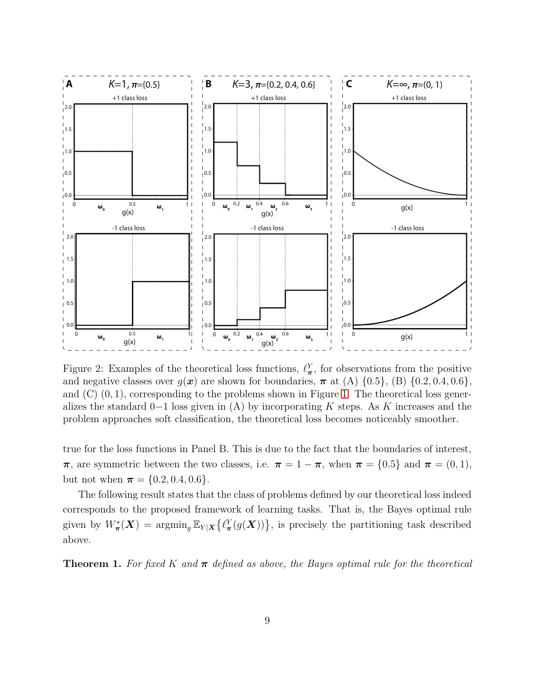

<span id="page-9-0"></span>Figure 2: Examples of the theoretical loss functions,  $\ell^Y_{\pi}$ , for observations from the positive and negative classes over  $g(x)$  are shown for boundaries,  $\pi$  at (A)  $\{0.5\}$ , (B)  $\{0.2, 0.4, 0.6\}$ , and  $(C)$   $(0, 1)$ , corresponding to the problems shown in Figure [1.](#page-7-0) The theoretical loss generalizes the standard 0−1 loss given in (A) by incorporating K steps. As K increases and the problem approaches soft classification, the theoretical loss becomes noticeably smoother.

true for the loss functions in Panel B. This is due to the fact that the boundaries of interest,  $\pi$ , are symmetric between the two classes, i.e.  $\pi = 1 - \pi$ , when  $\pi = \{0.5\}$  and  $\pi = (0, 1)$ , but not when  $\pi = \{0.2, 0.4, 0.6\}.$ 

The following result states that the class of problems defined by our theoretical loss indeed corresponds to the proposed framework of learning tasks. That is, the Bayes optimal rule given by  $W^*_{\pi}(X) = \arg\min_{g} \mathbb{E}_{Y|X} \{ \ell^Y_{\pi}(g(X)) \},$  is precisely the partitioning task described above.

<span id="page-9-1"></span>**Theorem 1.** For fixed K and  $\pi$  defined as above, the Bayes optimal rule for the theoretical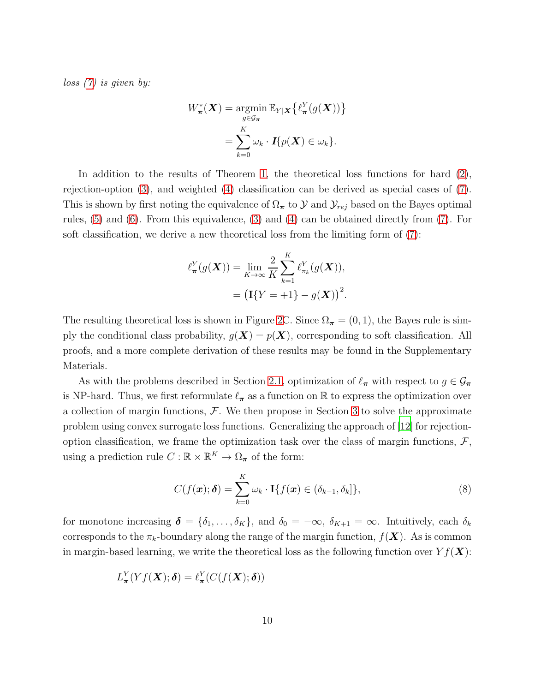*loss [\(7\)](#page-8-0) is given by:*

$$
W_{\boldsymbol{\pi}}^*(\boldsymbol{X}) = \operatorname*{argmin}_{g \in \mathcal{G}_{\boldsymbol{\pi}}} \mathbb{E}_{Y|\boldsymbol{X}} \left\{ \ell_{\boldsymbol{\pi}}^Y(g(\boldsymbol{X})) \right\}
$$

$$
= \sum_{k=0}^K \omega_k \cdot \boldsymbol{I} \{ p(\boldsymbol{X}) \in \omega_k \}.
$$

In addition to the results of Theorem [1,](#page-9-1) the theoretical loss functions for hard [\(2\)](#page-4-0), rejection-option [\(3\)](#page-4-1), and weighted [\(4\)](#page-5-0) classification can be derived as special cases of [\(7\)](#page-8-0). This is shown by first noting the equivalence of  $\Omega_{\pi}$  to  $\mathcal{Y}$  and  $\mathcal{Y}_{rej}$  based on the Bayes optimal rules, [\(5\)](#page-6-0) and [\(6\)](#page-6-1). From this equivalence, [\(3\)](#page-4-1) and [\(4\)](#page-5-0) can be obtained directly from [\(7\)](#page-8-0). For soft classification, we derive a new theoretical loss from the limiting form of [\(7\)](#page-8-0):

$$
\ell_{\pi}^{Y}(g(\boldsymbol{X})) = \lim_{K \to \infty} \frac{2}{K} \sum_{k=1}^{K} \ell_{\pi_k}^{Y}(g(\boldsymbol{X})),
$$

$$
= \left(\mathbf{I}\{Y = +1\} - g(\boldsymbol{X})\right)^2.
$$

The resulting theoretical loss is shown in Figure [2C](#page-9-0). Since  $\Omega_{\pi} = (0, 1)$ , the Bayes rule is simply the conditional class probability,  $g(\mathbf{X}) = p(\mathbf{X})$ , corresponding to soft classification. All proofs, and a more complete derivation of these results may be found in the Supplementary Materials.

As with the problems described in Section [2.1,](#page-3-1) optimization of  $\ell_{\pi}$  with respect to  $g \in \mathcal{G}_{\pi}$ is NP-hard. Thus, we first reformulate  $\ell_{\pi}$  as a function on R to express the optimization over a collection of margin functions,  $\mathcal{F}$ . We then propose in Section [3](#page-32-1) to solve the approximate problem using convex surrogate loss functions. Generalizing the approach of [\[12\]](#page-28-9) for rejectionoption classification, we frame the optimization task over the class of margin functions,  $\mathcal{F}$ , using a prediction rule  $C : \mathbb{R} \times \mathbb{R}^K \to \Omega_{\pi}$  of the form:

<span id="page-10-0"></span>
$$
C(f(\boldsymbol{x});\boldsymbol{\delta}) = \sum_{k=0}^{K} \omega_k \cdot \mathbf{I}\{f(\boldsymbol{x}) \in (\delta_{k-1}, \delta_k]\},\tag{8}
$$

for monotone increasing  $\boldsymbol{\delta} = {\delta_1, \ldots, \delta_K}$ , and  $\delta_0 = -\infty$ ,  $\delta_{K+1} = \infty$ . Intuitively, each  $\delta_k$ corresponds to the  $\pi_k$ -boundary along the range of the margin function,  $f(\boldsymbol{X})$ . As is common in margin-based learning, we write the theoretical loss as the following function over  $Yf(\boldsymbol{X})$ :

$$
L^Y_{\pi}(Yf(\boldsymbol{X});\boldsymbol{\delta})=\ell^Y_{\pi}(C(f(\boldsymbol{X});\boldsymbol{\delta}))
$$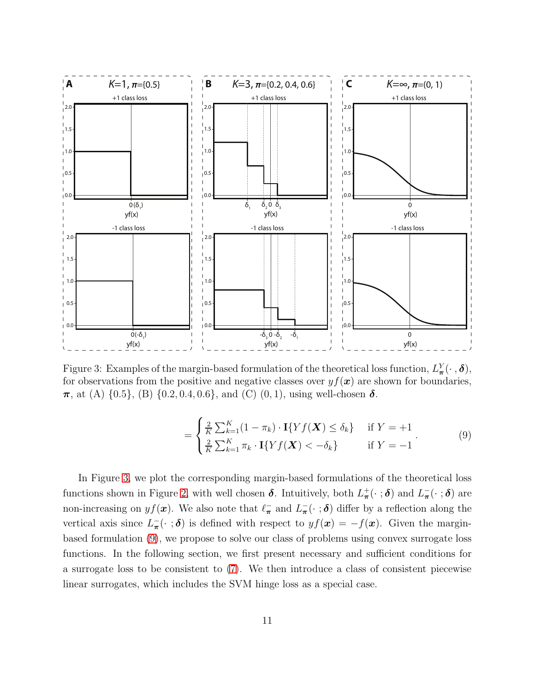

<span id="page-11-0"></span>Figure 3: Examples of the margin-based formulation of the theoretical loss function,  $L^Y_\pi(\cdot, \delta)$ , for observations from the positive and negative classes over  $y f(x)$  are shown for boundaries,  $\pi$ , at (A)  $\{0.5\}$ , (B)  $\{0.2, 0.4, 0.6\}$ , and (C)  $(0, 1)$ , using well-chosen  $\delta$ .

<span id="page-11-1"></span>
$$
= \begin{cases} \frac{2}{K} \sum_{k=1}^{K} (1 - \pi_k) \cdot \mathbf{I} \{ Y f(\mathbf{X}) \le \delta_k \} & \text{if } Y = +1\\ \frac{2}{K} \sum_{k=1}^{K} \pi_k \cdot \mathbf{I} \{ Y f(\mathbf{X}) < -\delta_k \} & \text{if } Y = -1 \end{cases} \tag{9}
$$

In Figure [3,](#page-11-0) we plot the corresponding margin-based formulations of the theoretical loss functions shown in Figure [2,](#page-9-0) with well chosen  $\delta$ . Intuitively, both  $L^+_{\pi}(\cdot;\delta)$  and  $L^-_{\pi}(\cdot;\delta)$  are non-increasing on  $yf(x)$ . We also note that  $\ell_{\pi}^-$  and  $L_{\pi}^-(\cdot;\boldsymbol{\delta})$  differ by a reflection along the vertical axis since  $L_{\pi}^{-}(\cdot;\boldsymbol{\delta})$  is defined with respect to  $yf(\boldsymbol{x}) = -f(\boldsymbol{x})$ . Given the marginbased formulation [\(9\)](#page-11-1), we propose to solve our class of problems using convex surrogate loss functions. In the following section, we first present necessary and sufficient conditions for a surrogate loss to be consistent to [\(7\)](#page-8-0). We then introduce a class of consistent piecewise linear surrogates, which includes the SVM hinge loss as a special case.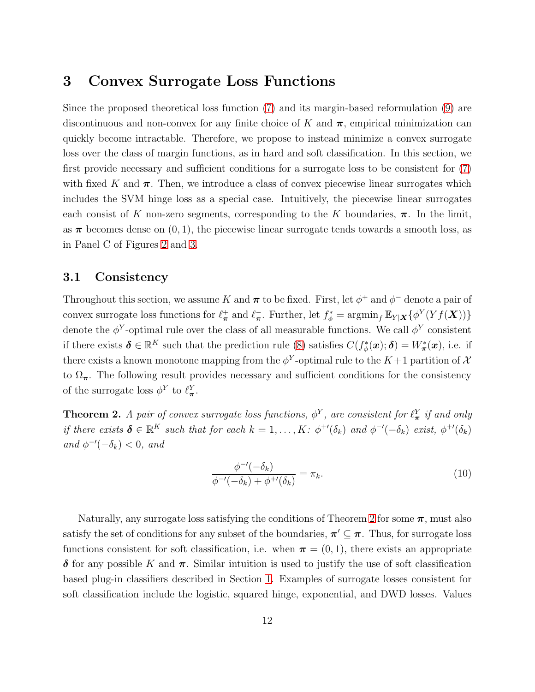## 3 Convex Surrogate Loss Functions

Since the proposed theoretical loss function [\(7\)](#page-8-0) and its margin-based reformulation [\(9\)](#page-11-1) are discontinuous and non-convex for any finite choice of K and  $\pi$ , empirical minimization can quickly become intractable. Therefore, we propose to instead minimize a convex surrogate loss over the class of margin functions, as in hard and soft classification. In this section, we first provide necessary and sufficient conditions for a surrogate loss to be consistent for [\(7\)](#page-8-0) with fixed K and  $\pi$ . Then, we introduce a class of convex piecewise linear surrogates which includes the SVM hinge loss as a special case. Intuitively, the piecewise linear surrogates each consist of K non-zero segments, corresponding to the K boundaries,  $\pi$ . In the limit, as  $\pi$  becomes dense on  $(0, 1)$ , the piecewise linear surrogate tends towards a smooth loss, as in Panel C of Figures [2](#page-9-0) and [3.](#page-11-0)

#### 3.1 Consistency

Throughout this section, we assume K and  $\pi$  to be fixed. First, let  $\phi^+$  and  $\phi^-$  denote a pair of convex surrogate loss functions for  $\ell^+_{\pi}$  and  $\ell^-_{\pi}$ . Further, let  $f^*_{\phi} = \operatorname{argmin}_f \mathbb{E}_{Y|X} \{ \phi^Y(Yf(X)) \}$ denote the  $\phi^Y$ -optimal rule over the class of all measurable functions. We call  $\phi^Y$  consistent if there exists  $\boldsymbol{\delta} \in \mathbb{R}^K$  such that the prediction rule [\(8\)](#page-10-0) satisfies  $C(f^*_\phi(\boldsymbol{x}); \boldsymbol{\delta}) = W^*_\pi(\boldsymbol{x})$ , i.e. if there exists a known monotone mapping from the  $\phi^Y$ -optimal rule to the  $K+1$  partition of  $\mathcal X$ to  $\Omega_{\pi}$ . The following result provides necessary and sufficient conditions for the consistency of the surrogate loss  $\phi^Y$  to  $\ell^Y_{\pi}$ .

<span id="page-12-0"></span>**Theorem 2.** A pair of convex surrogate loss functions,  $\phi^Y$ , are consistent for  $\ell^Y_{\pi}$  if and only *if there exists*  $\boldsymbol{\delta} \in \mathbb{R}^K$  *such that for each*  $k = 1, ..., K$ :  $\phi^{+'}(\delta_k)$  *and*  $\phi^{-'}(-\delta_k)$  *exist,*  $\phi^{+'}(\delta_k)$  $and \phi^{-\prime}(-\delta_k) < 0, and$ 

<span id="page-12-1"></span>
$$
\frac{\phi^{-\prime}(-\delta_k)}{\phi^{-\prime}(-\delta_k) + \phi^{+\prime}(\delta_k)} = \pi_k. \tag{10}
$$

Naturally, any surrogate loss satisfying the conditions of Theorem [2](#page-12-0) for some  $\pi$ , must also satisfy the set of conditions for any subset of the boundaries,  $\pi' \subseteq \pi$ . Thus, for surrogate loss functions consistent for soft classification, i.e. when  $\pi = (0, 1)$ , there exists an appropriate  $\delta$  for any possible K and  $\pi$ . Similar intuition is used to justify the use of soft classification based plug-in classifiers described in Section [1.](#page-30-0) Examples of surrogate losses consistent for soft classification include the logistic, squared hinge, exponential, and DWD losses. Values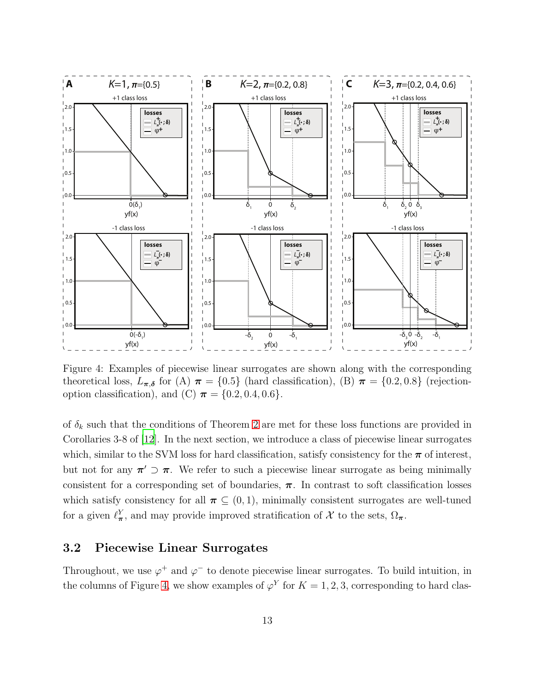

<span id="page-13-0"></span>Figure 4: Examples of piecewise linear surrogates are shown along with the corresponding theoretical loss,  $L_{\pi,\delta}$  for (A)  $\pi = \{0.5\}$  (hard classification), (B)  $\pi = \{0.2, 0.8\}$  (rejectionoption classification), and (C)  $\pi = \{0.2, 0.4, 0.6\}.$ 

of  $\delta_k$  such that the conditions of Theorem [2](#page-12-0) are met for these loss functions are provided in Corollaries 3-8 of [\[12\]](#page-28-9). In the next section, we introduce a class of piecewise linear surrogates which, similar to the SVM loss for hard classification, satisfy consistency for the  $\pi$  of interest, but not for any  $\pi' \supset \pi$ . We refer to such a piecewise linear surrogate as being minimally consistent for a corresponding set of boundaries,  $\pi$ . In contrast to soft classification losses which satisfy consistency for all  $\pi \subset (0,1)$ , minimally consistent surrogates are well-tuned for a given  $\ell^Y_{\pi}$ , and may provide improved stratification of X to the sets,  $\Omega_{\pi}$ .

### 3.2 Piecewise Linear Surrogates

Throughout, we use  $\varphi^+$  and  $\varphi^-$  to denote piecewise linear surrogates. To build intuition, in the columns of Figure [4,](#page-13-0) we show examples of  $\varphi^{Y}$  for  $K = 1, 2, 3$ , corresponding to hard clas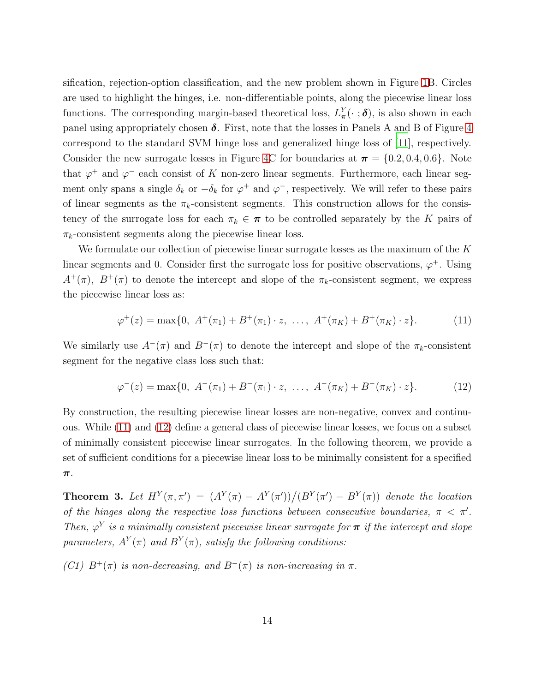sification, rejection-option classification, and the new problem shown in Figure [1B](#page-7-0). Circles are used to highlight the hinges, i.e. non-differentiable points, along the piecewise linear loss functions. The corresponding margin-based theoretical loss,  $L^Y_{\pi}(\cdot;\boldsymbol{\delta})$ , is also shown in each panel using appropriately chosen  $\delta$ . First, note that the losses in Panels A and B of Figure [4](#page-13-0) correspond to the standard SVM hinge loss and generalized hinge loss of [\[11](#page-28-8)], respectively. Consider the new surrogate losses in Figure [4C](#page-13-0) for boundaries at  $\pi = \{0.2, 0.4, 0.6\}$ . Note that  $\varphi^+$  and  $\varphi^-$  each consist of K non-zero linear segments. Furthermore, each linear segment only spans a single  $\delta_k$  or  $-\delta_k$  for  $\varphi^+$  and  $\varphi^-$ , respectively. We will refer to these pairs of linear segments as the  $\pi_k$ -consistent segments. This construction allows for the consistency of the surrogate loss for each  $\pi_k \in \pi$  to be controlled separately by the K pairs of  $\pi_k$ -consistent segments along the piecewise linear loss.

We formulate our collection of piecewise linear surrogate losses as the maximum of the K linear segments and 0. Consider first the surrogate loss for positive observations,  $\varphi^+$ . Using  $A^+(\pi)$ ,  $B^+(\pi)$  to denote the intercept and slope of the  $\pi_k$ -consistent segment, we express the piecewise linear loss as:

<span id="page-14-0"></span>
$$
\varphi^+(z) = \max\{0, \ A^+(\pi_1) + B^+(\pi_1) \cdot z, \ \ldots, \ A^+(\pi_K) + B^+(\pi_K) \cdot z\}.
$$
 (11)

We similarly use  $A^{-}(\pi)$  and  $B^{-}(\pi)$  to denote the intercept and slope of the  $\pi_k$ -consistent segment for the negative class loss such that:

<span id="page-14-1"></span>
$$
\varphi^{-}(z) = \max\{0, \ A^{-}(\pi_1) + B^{-}(\pi_1) \cdot z, \ \ldots, \ A^{-}(\pi_K) + B^{-}(\pi_K) \cdot z\}. \tag{12}
$$

By construction, the resulting piecewise linear losses are non-negative, convex and continuous. While [\(11\)](#page-14-0) and [\(12\)](#page-14-1) define a general class of piecewise linear losses, we focus on a subset of minimally consistent piecewise linear surrogates. In the following theorem, we provide a set of sufficient conditions for a piecewise linear loss to be minimally consistent for a specified π.

<span id="page-14-2"></span>**Theorem 3.** Let  $H^Y(\pi, \pi') = (A^Y(\pi) - A^Y(\pi'))/(B^Y(\pi') - B^Y(\pi))$  denote the location *of the hinges along the respective loss functions between consecutive boundaries,*  $\pi < \pi'$ . *Then,*  $\varphi^{Y}$  *is a minimally consistent piecewise linear surrogate for*  $\pi$  *if the intercept and slope* parameters,  $A^Y(\pi)$  and  $B^Y(\pi)$ , satisfy the following conditions:

*(C1)*  $B^+(\pi)$  *is non-decreasing, and*  $B^-(\pi)$  *is non-increasing in*  $\pi$ *.*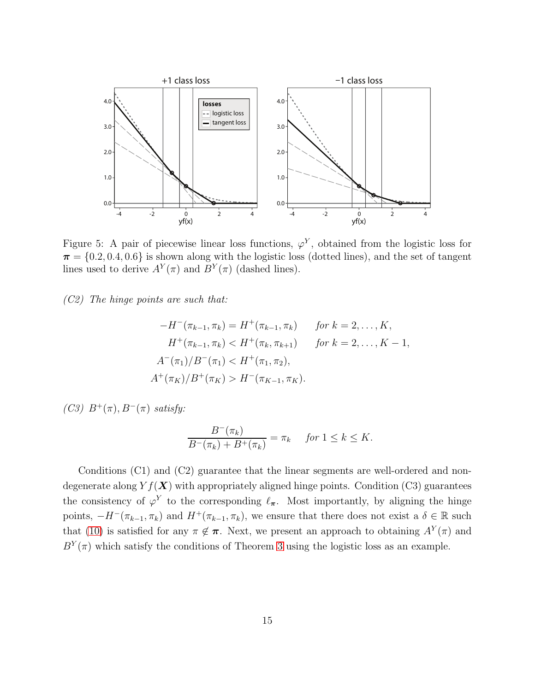

<span id="page-15-0"></span>Figure 5: A pair of piecewise linear loss functions,  $\varphi^{Y}$ , obtained from the logistic loss for  $\pi = \{0.2, 0.4, 0.6\}$  is shown along with the logistic loss (dotted lines), and the set of tangent lines used to derive  $A^Y(\pi)$  and  $B^Y(\pi)$  (dashed lines).

*(C2) The hinge points are such that:*

$$
-H^{-}(\pi_{k-1}, \pi_{k}) = H^{+}(\pi_{k-1}, \pi_{k}) \quad \text{for } k = 2, ..., K,
$$
  
\n
$$
H^{+}(\pi_{k-1}, \pi_{k}) < H^{+}(\pi_{k}, \pi_{k+1}) \quad \text{for } k = 2, ..., K - 1,
$$
  
\n
$$
A^{-}(\pi_{1})/B^{-}(\pi_{1}) < H^{+}(\pi_{1}, \pi_{2}),
$$
  
\n
$$
A^{+}(\pi_{K})/B^{+}(\pi_{K}) > H^{-}(\pi_{K-1}, \pi_{K}).
$$

*(C3)*  $B^{+}(\pi)$ ,  $B^{-}(\pi)$  *satisfy:* 

$$
\frac{B^-(\pi_k)}{B^-(\pi_k)+B^+(\pi_k)} = \pi_k \quad \text{ for } 1 \leq k \leq K.
$$

Conditions (C1) and (C2) guarantee that the linear segments are well-ordered and nondegenerate along  $Y f(\boldsymbol{X})$  with appropriately aligned hinge points. Condition (C3) guarantees the consistency of  $\varphi^Y$  to the corresponding  $\ell_{\pi}$ . Most importantly, by aligning the hinge points,  $-H^{-}(\pi_{k-1}, \pi_{k})$  and  $H^{+}(\pi_{k-1}, \pi_{k})$ , we ensure that there does not exist a  $\delta \in \mathbb{R}$  such that [\(10\)](#page-12-1) is satisfied for any  $\pi \notin \pi$ . Next, we present an approach to obtaining  $A^Y(\pi)$  and  $B^{Y}(\pi)$  which satisfy the conditions of Theorem [3](#page-14-2) using the logistic loss as an example.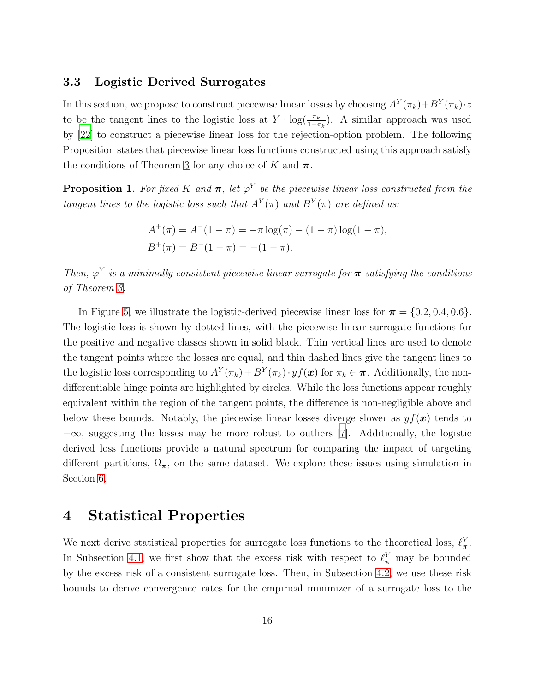#### <span id="page-16-0"></span>3.3 Logistic Derived Surrogates

In this section, we propose to construct piecewise linear losses by choosing  $A^Y(\pi_k)+B^Y(\pi_k)\cdot z$ to be the tangent lines to the logistic loss at  $Y \cdot \log(\frac{\pi_k}{1-\pi_k})$ . A similar approach was used by [\[22\]](#page-29-3) to construct a piecewise linear loss for the rejection-option problem. The following Proposition states that piecewise linear loss functions constructed using this approach satisfy the conditions of Theorem [3](#page-14-2) for any choice of K and  $\pi$ .

<span id="page-16-1"></span>**Proposition 1.** For fixed K and  $\pi$ , let  $\varphi^Y$  be the piecewise linear loss constructed from the *tangent lines to the logistic loss such that*  $A^Y(\pi)$  *and*  $B^Y(\pi)$  *are defined as:* 

$$
A^{+}(\pi) = A^{-}(1 - \pi) = -\pi \log(\pi) - (1 - \pi) \log(1 - \pi),
$$
  

$$
B^{+}(\pi) = B^{-}(1 - \pi) = -(1 - \pi).
$$

*Then,*  $\varphi^{Y}$  *is a minimally consistent piecewise linear surrogate for*  $\pi$  *satisfying the conditions of Theorem [3.](#page-14-2)*

In Figure [5,](#page-15-0) we illustrate the logistic-derived piecewise linear loss for  $\pi = \{0.2, 0.4, 0.6\}.$ The logistic loss is shown by dotted lines, with the piecewise linear surrogate functions for the positive and negative classes shown in solid black. Thin vertical lines are used to denote the tangent points where the losses are equal, and thin dashed lines give the tangent lines to the logistic loss corresponding to  $A^Y(\pi_k) + B^Y(\pi_k) \cdot yf(\boldsymbol{x})$  for  $\pi_k \in \boldsymbol{\pi}$ . Additionally, the nondifferentiable hinge points are highlighted by circles. While the loss functions appear roughly equivalent within the region of the tangent points, the difference is non-negligible above and below these bounds. Notably, the piecewise linear losses diverge slower as  $y f(x)$  tends to  $-\infty$ , suggesting the losses may be more robust to outliers [\[7](#page-28-4)]. Additionally, the logistic derived loss functions provide a natural spectrum for comparing the impact of targeting different partitions,  $\Omega_{\pi}$ , on the same dataset. We explore these issues using simulation in Section [6.](#page-34-0)

## 4 Statistical Properties

We next derive statistical properties for surrogate loss functions to the theoretical loss,  $\ell_{\pi}^{Y}$ . In Subsection [4.1,](#page-17-0) we first show that the excess risk with respect to  $\ell_{\pi}^Y$  may be bounded by the excess risk of a consistent surrogate loss. Then, in Subsection [4.2,](#page-18-0) we use these risk bounds to derive convergence rates for the empirical minimizer of a surrogate loss to the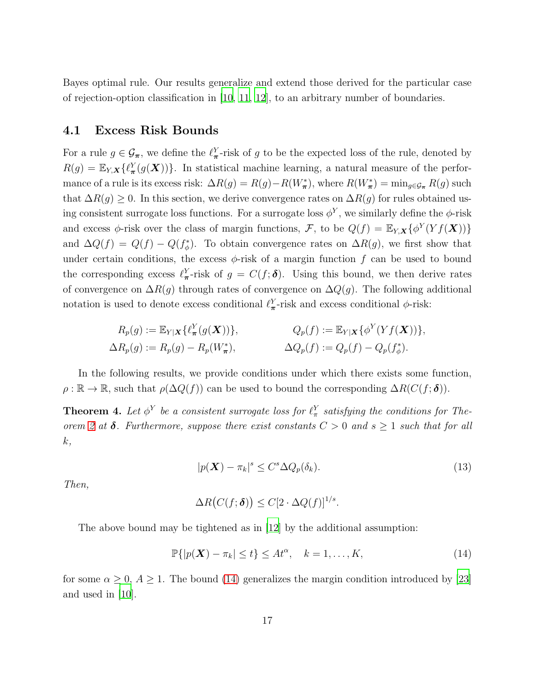Bayes optimal rule. Our results generalize and extend those derived for the particular case of rejection-option classification in  $[10, 11, 12]$  $[10, 11, 12]$  $[10, 11, 12]$  $[10, 11, 12]$  $[10, 11, 12]$ , to an arbitrary number of boundaries.

#### <span id="page-17-0"></span>4.1 Excess Risk Bounds

For a rule  $g \in \mathcal{G}_{\pi}$ , we define the  $\ell_{\pi}^Y$ -risk of g to be the expected loss of the rule, denoted by  $R(g) = \mathbb{E}_{Y,X}\{\ell^Y_\pi(g(\boldsymbol{X}))\}.$  In statistical machine learning, a natural measure of the performance of a rule is its excess risk:  $\Delta R(g) = R(g) - R(W^*_{\pi})$ , where  $R(W^*_{\pi}) = \min_{g \in \mathcal{G}_{\pi}} R(g)$  such that  $\Delta R(g) \geq 0$ . In this section, we derive convergence rates on  $\Delta R(g)$  for rules obtained using consistent surrogate loss functions. For a surrogate loss  $\phi^Y$ , we similarly define the  $\phi$ -risk and excess  $\phi$ -risk over the class of margin functions, F, to be  $Q(f) = \mathbb{E}_{Y,X} \{ \phi^Y(Yf(\boldsymbol{X})) \}$ and  $\Delta Q(f) = Q(f) - Q(f_{\phi}^*)$ . To obtain convergence rates on  $\Delta R(g)$ , we first show that under certain conditions, the excess  $\phi$ -risk of a margin function f can be used to bound the corresponding excess  $\ell_{\pi}^Y$ -risk of  $g = C(f; \delta)$ . Using this bound, we then derive rates of convergence on  $\Delta R(g)$  through rates of convergence on  $\Delta Q(g)$ . The following additional notation is used to denote excess conditional  $\ell_{\pi}^{Y}$ -risk and excess conditional  $\phi$ -risk:

$$
R_p(g) := \mathbb{E}_{Y|\mathbf{X}} \{ \ell^Y_{\boldsymbol{\pi}}(g(\mathbf{X})) \}, \qquad Q_p(f) := \mathbb{E}_{Y|\mathbf{X}} \{ \phi^Y(Yf(\mathbf{X})) \},
$$
  

$$
\Delta R_p(g) := R_p(g) - R_p(W^*_{\boldsymbol{\pi}}), \qquad \Delta Q_p(f) := Q_p(f) - Q_p(f^*_{\phi}).
$$

In the following results, we provide conditions under which there exists some function,  $\rho : \mathbb{R} \to \mathbb{R}$ , such that  $\rho(\Delta Q(f))$  can be used to bound the corresponding  $\Delta R(C(f; \delta))$ .

<span id="page-17-2"></span>**Theorem 4.** Let  $\phi^Y$  be a consistent surrogate loss for  $\ell^Y_\pi$  satisfying the conditions for The*orem* [2](#page-12-0) *at*  $\delta$ . Furthermore, suppose there exist constants  $C > 0$  *and*  $s \ge 1$  *such that for all* k*,*

<span id="page-17-3"></span>
$$
|p(\boldsymbol{X}) - \pi_k|^s \le C^s \Delta Q_p(\delta_k). \tag{13}
$$

*Then,*

<span id="page-17-1"></span>
$$
\Delta R\big(C(f; \boldsymbol{\delta})\big) \le C[2 \cdot \Delta Q(f)]^{1/s}.
$$

The above bound may be tightened as in [\[12\]](#page-28-9) by the additional assumption:

$$
\mathbb{P}\{|p(\boldsymbol{X}) - \pi_k| \le t\} \le At^\alpha, \quad k = 1, \dots, K,
$$
\n(14)

for some  $\alpha \geq 0$ ,  $A \geq 1$ . The bound [\(14\)](#page-17-1) generalizes the margin condition introduced by [\[23\]](#page-29-4) and used in [\[10](#page-28-7)].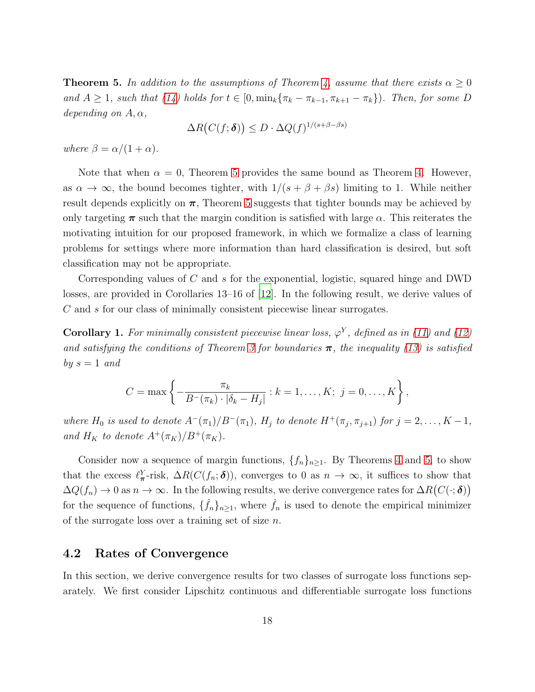<span id="page-18-1"></span>**Theorem 5.** In addition to the assumptions of Theorem [4,](#page-17-2) assume that there exists  $\alpha \geq 0$ *and*  $A \geq 1$ *, such that*  $(14)$  *holds for*  $t \in [0, \min_k{\lbrace \pi_k - \pi_{k-1}, \pi_{k+1} - \pi_k \rbrace})$ *. Then, for some* D *depending on*  $A, \alpha$ *,* 

$$
\Delta R(C(f; \delta)) \le D \cdot \Delta Q(f)^{1/(s+\beta-\beta s)}
$$

*where*  $\beta = \alpha/(1+\alpha)$ *.* 

Note that when  $\alpha = 0$ , Theorem [5](#page-18-1) provides the same bound as Theorem [4.](#page-17-2) However, as  $\alpha \to \infty$ , the bound becomes tighter, with  $1/(s + \beta + \beta s)$  limiting to 1. While neither result depends explicitly on  $\pi$ , Theorem [5](#page-18-1) suggests that tighter bounds may be achieved by only targeting  $\pi$  such that the margin condition is satisfied with large  $\alpha$ . This reiterates the motivating intuition for our proposed framework, in which we formalize a class of learning problems for settings where more information than hard classification is desired, but soft classification may not be appropriate.

Corresponding values of C and s for the exponential, logistic, squared hinge and DWD losses, are provided in Corollaries 13–16 of [\[12](#page-28-9)]. In the following result, we derive values of C and s for our class of minimally consistent piecewise linear surrogates.

<span id="page-18-2"></span>**Corollary 1.** For minimally consistent piecewise linear loss,  $\varphi^{Y}$ , defined as in [\(11\)](#page-14-0) and [\(12\)](#page-14-1) *and satisfying the conditions of Theorem [3](#page-14-2) for boundaries*  $\pi$ , the inequality [\(13\)](#page-17-3) is satisfied *by*  $s = 1$  *and* 

$$
C = \max \left\{ -\frac{\pi_k}{B^-(\pi_k) \cdot |\delta_k - H_j|} : k = 1, \dots, K; \ j = 0, \dots, K \right\},\
$$

*where*  $H_0$  *is used to denote*  $A^-(\pi_1)/B^-(\pi_1)$ ,  $H_j$  *to denote*  $H^+(\pi_j, \pi_{j+1})$  *for*  $j = 2, ..., K - 1$ , *and*  $H_K$  *to denote*  $A^+(\pi_K)/B^+(\pi_K)$ *.* 

Consider now a sequence of margin functions,  $\{f_n\}_{n\geq 1}$ . By Theorems [4](#page-17-2) and [5,](#page-18-1) to show that the excess  $\ell^Y_{\pi}$ -risk,  $\Delta R(C(f_n; \boldsymbol{\delta}))$ , converges to 0 as  $n \to \infty$ , it suffices to show that  $\Delta Q(f_n) \to 0$  as  $n \to \infty$ . In the following results, we derive convergence rates for  $\Delta R(C(\cdot;\boldsymbol{\delta}))$ for the sequence of functions,  $\{\hat{f}_n\}_{n\geq 1}$ , where  $\hat{f}_n$  is used to denote the empirical minimizer of the surrogate loss over a training set of size  $n$ .

#### <span id="page-18-0"></span>4.2 Rates of Convergence

In this section, we derive convergence results for two classes of surrogate loss functions separately. We first consider Lipschitz continuous and differentiable surrogate loss functions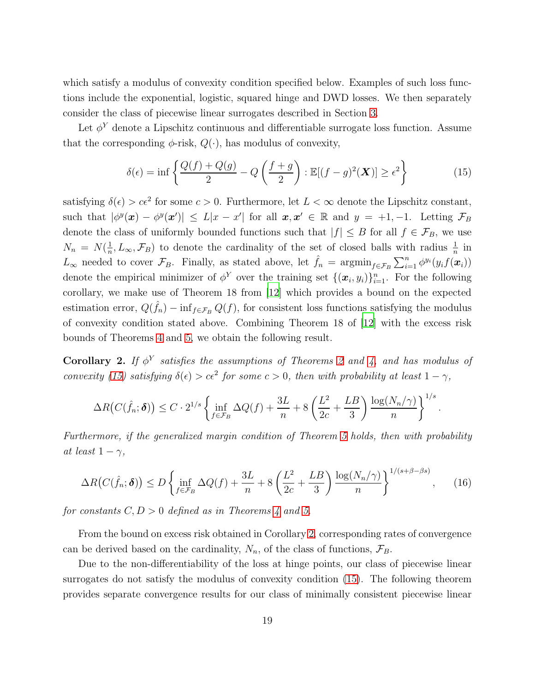which satisfy a modulus of convexity condition specified below. Examples of such loss functions include the exponential, logistic, squared hinge and DWD losses. We then separately consider the class of piecewise linear surrogates described in Section [3.](#page-32-1)

Let  $\phi^Y$  denote a Lipschitz continuous and differentiable surrogate loss function. Assume that the corresponding  $\phi$ -risk,  $Q(\cdot)$ , has modulus of convexity,

$$
\delta(\epsilon) = \inf \left\{ \frac{Q(f) + Q(g)}{2} - Q\left(\frac{f+g}{2}\right) : \mathbb{E}[(f-g)^2(\boldsymbol{X})] \ge \epsilon^2 \right\} \tag{15}
$$

satisfying  $\delta(\epsilon) > c\epsilon^2$  for some  $c > 0$ . Furthermore, let  $L < \infty$  denote the Lipschitz constant, such that  $|\phi^{y}(\boldsymbol{x}) - \phi^{y}(\boldsymbol{x}')| \leq L|x - x'|$  for all  $\boldsymbol{x}, \boldsymbol{x}' \in \mathbb{R}$  and  $y = +1, -1$ . Letting  $\mathcal{F}_{B}$ denote the class of uniformly bounded functions such that  $|f| \leq B$  for all  $f \in \mathcal{F}_B$ , we use  $N_n = N(\frac{1}{n})$  $\frac{1}{n}, L_{\infty}, \mathcal{F}_B$  to denote the cardinality of the set of closed balls with radius  $\frac{1}{n}$  in  $L_{\infty}$  needed to cover  $\mathcal{F}_B$ . Finally, as stated above, let  $\hat{f}_n = \operatorname{argmin}_{f \in \mathcal{F}_B} \sum_{i=1}^n \phi^{y_i}(y_i f(\boldsymbol{x}_i))$ denote the empirical minimizer of  $\phi^Y$  over the training set  $\{(\boldsymbol{x}_i, y_i)\}_{i=1}^n$ . For the following corollary, we make use of Theorem 18 from [\[12](#page-28-9)] which provides a bound on the expected estimation error,  $Q(\hat{f}_n) - \inf_{f \in \mathcal{F}_B} Q(f)$ , for consistent loss functions satisfying the modulus of convexity condition stated above. Combining Theorem 18 of [\[12\]](#page-28-9) with the excess risk bounds of Theorems [4](#page-17-2) and [5,](#page-18-1) we obtain the following result.

<span id="page-19-1"></span>**Corollary [2](#page-12-0).** If  $\phi^Y$  satisfies the assumptions of Theorems 2 and [4,](#page-17-2) and has modulus of *convexity* [\(15\)](#page-19-0) *satisfying*  $\delta(\epsilon) > c\epsilon^2$  *for some*  $c > 0$ *, then with probability at least*  $1 - \gamma$ *,* 

$$
\Delta R\big(C(\hat{f}_n; \boldsymbol{\delta})\big) \le C \cdot 2^{1/s} \left\{ \inf_{f \in \mathcal{F}_B} \Delta Q(f) + \frac{3L}{n} + 8\left(\frac{L^2}{2c} + \frac{LB}{3}\right) \frac{\log(N_n/\gamma)}{n} \right\}^{1/s}
$$

<span id="page-19-2"></span><span id="page-19-0"></span>.

*Furthermore, if the generalized margin condition of Theorem [5](#page-18-1) holds, then with probability at least*  $1 - \gamma$ *,* 

$$
\Delta R\big(C(\hat{f}_n; \delta)\big) \le D \left\{ \inf_{f \in \mathcal{F}_B} \Delta Q(f) + \frac{3L}{n} + 8\left(\frac{L^2}{2c} + \frac{LB}{3}\right) \frac{\log(N_n/\gamma)}{n} \right\}^{1/(s+\beta-\beta s)},\tag{16}
$$

*for constants*  $C, D > 0$  *defined as in Theorems* [4](#page-17-2) *and* [5.](#page-18-1)

From the bound on excess risk obtained in Corollary [2,](#page-19-1) corresponding rates of convergence can be derived based on the cardinality,  $N_n$ , of the class of functions,  $\mathcal{F}_B$ .

Due to the non-differentiability of the loss at hinge points, our class of piecewise linear surrogates do not satisfy the modulus of convexity condition [\(15\)](#page-19-0). The following theorem provides separate convergence results for our class of minimally consistent piecewise linear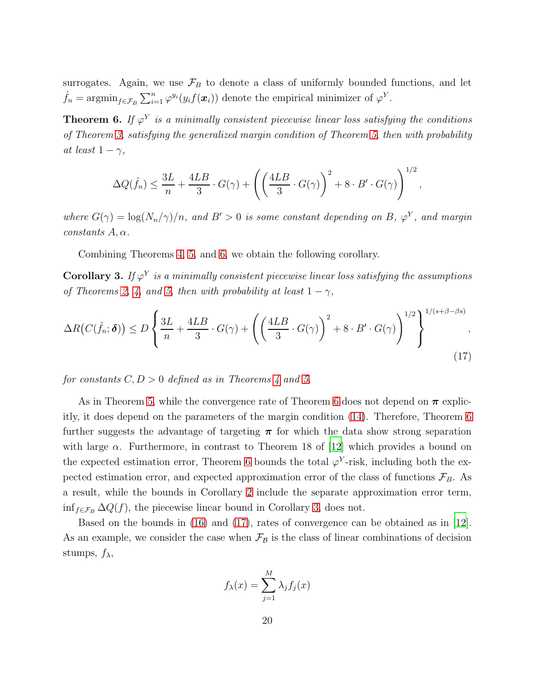surrogates. Again, we use  $\mathcal{F}_B$  to denote a class of uniformly bounded functions, and let  $\hat{f}_n = \operatorname{argmin}_{f \in \mathcal{F}_B} \sum_{i=1}^n \varphi^{y_i}(y_i f(\boldsymbol{x}_i))$  denote the empirical minimizer of  $\varphi^Y$ .

<span id="page-20-0"></span>**Theorem 6.** If  $\varphi^{Y}$  is a minimally consistent piecewise linear loss satisfying the conditions *of Theorem [3,](#page-14-2) satisfying the generalized margin condition of Theorem [5,](#page-18-1) then with probability at least*  $1 - \gamma$ *,* 

$$
\Delta Q(\hat{f}_n) \le \frac{3L}{n} + \frac{4LB}{3} \cdot G(\gamma) + \left( \left( \frac{4LB}{3} \cdot G(\gamma) \right)^2 + 8 \cdot B' \cdot G(\gamma) \right)^{1/2},
$$

*where*  $G(\gamma) = \log(N_n/\gamma)/n$ , and  $B' > 0$  *is some constant depending on* B,  $\varphi^Y$ , and margin  $constants A, \alpha$ .

Combining Theorems [4,](#page-17-2) [5,](#page-18-1) and [6,](#page-20-0) we obtain the following corollary.

<span id="page-20-1"></span> $\bf Corollary 3.$  *If*  $\varphi^Y$  *is a minimally consistent piecewise linear loss satisfying the assumptions of Theorems [2,](#page-12-0) [4,](#page-17-2) and [5,](#page-18-1) then with probability at least*  $1 - \gamma$ *,* 

$$
\Delta R(C(\hat{f}_n; \boldsymbol{\delta})) \le D \left\{ \frac{3L}{n} + \frac{4LB}{3} \cdot G(\gamma) + \left( \left( \frac{4LB}{3} \cdot G(\gamma) \right)^2 + 8 \cdot B' \cdot G(\gamma) \right)^{1/2} \right\}^{1/(s+\beta-\beta s)},\tag{17}
$$

*for constants*  $C, D > 0$  *defined as in Theorems* [4](#page-17-2) *and* [5.](#page-18-1)

As in Theorem [5,](#page-18-1) while the convergence rate of Theorem [6](#page-20-0) does not depend on  $\pi$  explicitly, it does depend on the parameters of the margin condition [\(14\)](#page-17-1). Therefore, Theorem [6](#page-20-0) further suggests the advantage of targeting  $\pi$  for which the data show strong separation with large  $\alpha$ . Furthermore, in contrast to Theorem 18 of [\[12\]](#page-28-9) which provides a bound on the expected estimation error, Theorem [6](#page-20-0) bounds the total  $\varphi^{Y}$ -risk, including both the expected estimation error, and expected approximation error of the class of functions  $\mathcal{F}_B$ . As a result, while the bounds in Corollary [2](#page-19-1) include the separate approximation error term,  $\inf_{f \in \mathcal{F}_B} \Delta Q(f)$ , the piecewise linear bound in Corollary [3,](#page-20-1) does not.

Based on the bounds in [\(16\)](#page-19-2) and [\(17\)](#page-20-2), rates of convergence can be obtained as in [\[12\]](#page-28-9). As an example, we consider the case when  $\mathcal{F}_{\mathcal{B}}$  is the class of linear combinations of decision stumps,  $f_{\lambda}$ ,

<span id="page-20-2"></span>
$$
f_{\lambda}(x) = \sum_{j=1}^{M} \lambda_j f_j(x)
$$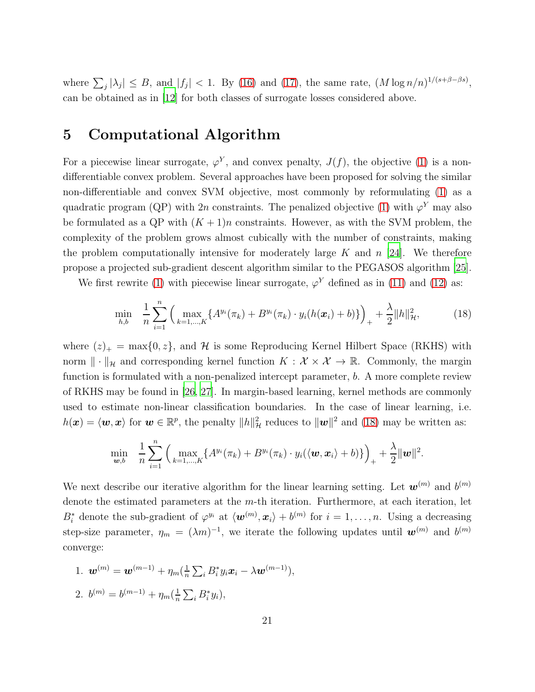where  $\sum_j |\lambda_j| \leq B$ , and  $|f_j| < 1$ . By [\(16\)](#page-19-2) and [\(17\)](#page-20-2), the same rate,  $(M \log n/n)^{1/(s+\beta-\beta s)}$ , can be obtained as in [\[12\]](#page-28-9) for both classes of surrogate losses considered above.

## 5 Computational Algorithm

For a piecewise linear surrogate,  $\varphi^{Y}$ , and convex penalty,  $J(f)$ , the objective [\(1\)](#page-3-0) is a nondifferentiable convex problem. Several approaches have been proposed for solving the similar non-differentiable and convex SVM objective, most commonly by reformulating [\(1\)](#page-3-0) as a quadratic program (QP) with 2n constraints. The penalized objective [\(1\)](#page-3-0) with  $\varphi^{Y}$  may also be formulated as a QP with  $(K + 1)n$  constraints. However, as with the SVM problem, the complexity of the problem grows almost cubically with the number of constraints, making the problem computationally intensive for moderately large K and  $n$  [\[24\]](#page-29-5). We therefore propose a projected sub-gradient descent algorithm similar to the PEGASOS algorithm [\[25\]](#page-29-6).

We first rewrite [\(1\)](#page-3-0) with piecewise linear surrogate,  $\varphi^{Y}$  defined as in [\(11\)](#page-14-0) and [\(12\)](#page-14-1) as:

<span id="page-21-0"></span>
$$
\min_{h,b} \quad \frac{1}{n} \sum_{i=1}^{n} \left( \max_{k=1,\dots,K} \{ A^{y_i}(\pi_k) + B^{y_i}(\pi_k) \cdot y_i(h(\boldsymbol{x}_i) + b) \} \right)_+ + \frac{\lambda}{2} \| h \|_{\mathcal{H}}^2, \tag{18}
$$

where  $(z)_+$  = max $\{0, z\}$ , and H is some Reproducing Kernel Hilbert Space (RKHS) with norm  $\|\cdot\|_{\mathcal{H}}$  and corresponding kernel function  $K : \mathcal{X} \times \mathcal{X} \to \mathbb{R}$ . Commonly, the margin function is formulated with a non-penalized intercept parameter, b. A more complete review of RKHS may be found in [\[26](#page-29-7), [27\]](#page-29-8). In margin-based learning, kernel methods are commonly used to estimate non-linear classification boundaries. In the case of linear learning, i.e.  $h(\boldsymbol{x}) = \langle \boldsymbol{w}, \boldsymbol{x} \rangle$  for  $\boldsymbol{w} \in \mathbb{R}^p$ , the penalty  $||h||^2_{\mathcal{H}}$  reduces to  $||\boldsymbol{w}||^2$  and [\(18\)](#page-21-0) may be written as:

$$
\min_{\boldsymbol{w},b} \quad \frac{1}{n}\sum_{i=1}^n \Big(\max_{k=1,\dots,K}\{A^{y_i}(\pi_k)+B^{y_i}(\pi_k)\cdot y_i(\langle \boldsymbol{w},\boldsymbol{x}_i\rangle+b)\}\Big)_+ + \frac{\lambda}{2}\|\boldsymbol{w}\|^2.
$$

We next describe our iterative algorithm for the linear learning setting. Let  $w^{(m)}$  and  $b^{(m)}$ denote the estimated parameters at the m-th iteration. Furthermore, at each iteration, let  $B_i^*$  denote the sub-gradient of  $\varphi^{y_i}$  at  $\langle \boldsymbol{w}^{(m)}, \boldsymbol{x}_i \rangle + b^{(m)}$  for  $i = 1, \ldots, n$ . Using a decreasing step-size parameter,  $\eta_m = (\lambda m)^{-1}$ , we iterate the following updates until  $\boldsymbol{w}^{(m)}$  and  $b^{(m)}$ converge:

1. 
$$
\boldsymbol{w}^{(m)} = \boldsymbol{w}^{(m-1)} + \eta_m(\frac{1}{n}\sum_i B_i^* y_i \boldsymbol{x}_i - \lambda \boldsymbol{w}^{(m-1)}),
$$
  
2.  $b^{(m)} = b^{(m-1)} + \eta_m(\frac{1}{n}\sum_i B_i^* y_i),$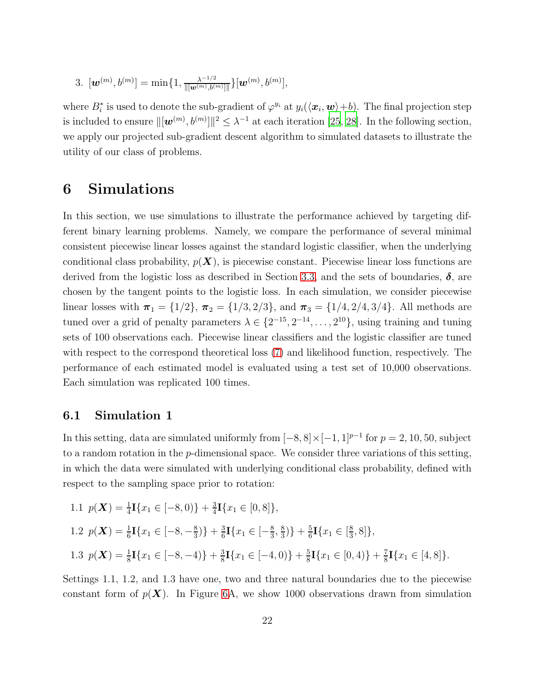3. 
$$
[\mathbf{w}^{(m)}, b^{(m)}] = \min\{1, \frac{\lambda^{-1/2}}{\|[\mathbf{w}^{(m)}, b^{(m)}]\|}\}[\mathbf{w}^{(m)}, b^{(m)}],
$$

where  $B_i^*$  is used to denote the sub-gradient of  $\varphi^{y_i}$  at  $y_i(\langle \boldsymbol{x}_i, \boldsymbol{w} \rangle + b)$ . The final projection step is included to ensure  $\|[w^{(m)}, b^{(m)}]\|^2 \leq \lambda^{-1}$  at each iteration [\[25,](#page-29-6) [28\]](#page-29-9). In the following section, we apply our projected sub-gradient descent algorithm to simulated datasets to illustrate the utility of our class of problems.

## 6 Simulations

In this section, we use simulations to illustrate the performance achieved by targeting different binary learning problems. Namely, we compare the performance of several minimal consistent piecewise linear losses against the standard logistic classifier, when the underlying conditional class probability,  $p(X)$ , is piecewise constant. Piecewise linear loss functions are derived from the logistic loss as described in Section [3.3,](#page-16-0) and the sets of boundaries,  $\delta$ , are chosen by the tangent points to the logistic loss. In each simulation, we consider piecewise linear losses with  $\pi_1 = \{1/2\}, \pi_2 = \{1/3, 2/3\}, \text{ and } \pi_3 = \{1/4, 2/4, 3/4\}.$  All methods are tuned over a grid of penalty parameters  $\lambda \in \{2^{-15}, 2^{-14}, \ldots, 2^{10}\}$ , using training and tuning sets of 100 observations each. Piecewise linear classifiers and the logistic classifier are tuned with respect to the correspond theoretical loss [\(7\)](#page-8-0) and likelihood function, respectively. The performance of each estimated model is evaluated using a test set of 10,000 observations. Each simulation was replicated 100 times.

### 6.1 Simulation 1

In this setting, data are simulated uniformly from  $[-8, 8] \times [-1, 1]^{p-1}$  for  $p = 2, 10, 50$ , subject to a random rotation in the p-dimensional space. We consider three variations of this setting, in which the data were simulated with underlying conditional class probability, defined with respect to the sampling space prior to rotation:

1.1 
$$
p(\mathbf{X}) = \frac{1}{4}\mathbf{I}\{x_1 \in [-8, 0)\} + \frac{3}{4}\mathbf{I}\{x_1 \in [0, 8]\},
$$
  
\n1.2  $p(\mathbf{X}) = \frac{1}{6}\mathbf{I}\{x_1 \in [-8, -\frac{8}{3})\} + \frac{3}{6}\mathbf{I}\{x_1 \in [-\frac{8}{3}, \frac{8}{3})\} + \frac{5}{6}\mathbf{I}\{x_1 \in [\frac{8}{3}, 8]\},$   
\n1.3  $p(\mathbf{X}) = \frac{1}{8}\mathbf{I}\{x_1 \in [-8, -4)\} + \frac{3}{8}\mathbf{I}\{x_1 \in [-4, 0)\} + \frac{5}{8}\mathbf{I}\{x_1 \in [0, 4)\} + \frac{7}{8}\mathbf{I}\{x_1 \in [4, 8]\}.$ 

Settings 1.1, 1.2, and 1.3 have one, two and three natural boundaries due to the piecewise constant form of  $p(X)$ . In Figure [6A](#page-23-0), we show 1000 observations drawn from simulation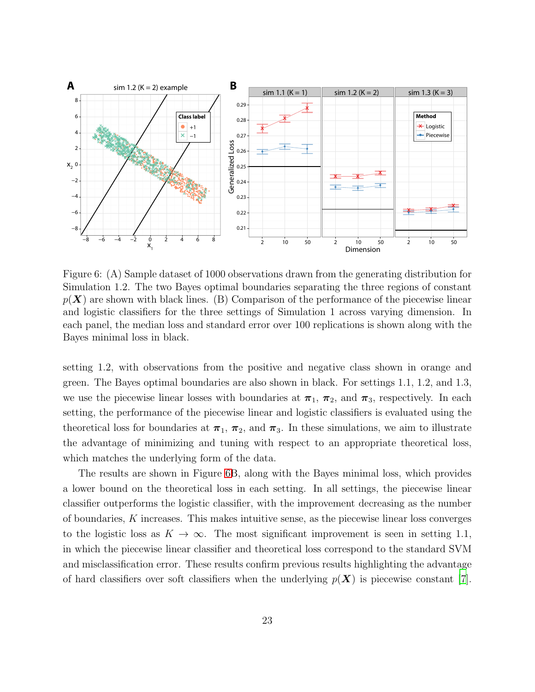

<span id="page-23-0"></span>Figure 6: (A) Sample dataset of 1000 observations drawn from the generating distribution for Simulation 1.2. The two Bayes optimal boundaries separating the three regions of constant  $p(X)$  are shown with black lines. (B) Comparison of the performance of the piecewise linear and logistic classifiers for the three settings of Simulation 1 across varying dimension. In each panel, the median loss and standard error over 100 replications is shown along with the Bayes minimal loss in black.

setting 1.2, with observations from the positive and negative class shown in orange and green. The Bayes optimal boundaries are also shown in black. For settings 1.1, 1.2, and 1.3, we use the piecewise linear losses with boundaries at  $\pi_1$ ,  $\pi_2$ , and  $\pi_3$ , respectively. In each setting, the performance of the piecewise linear and logistic classifiers is evaluated using the theoretical loss for boundaries at  $\pi_1$ ,  $\pi_2$ , and  $\pi_3$ . In these simulations, we aim to illustrate the advantage of minimizing and tuning with respect to an appropriate theoretical loss, which matches the underlying form of the data.

The results are shown in Figure [6B](#page-23-0), along with the Bayes minimal loss, which provides a lower bound on the theoretical loss in each setting. In all settings, the piecewise linear classifier outperforms the logistic classifier, with the improvement decreasing as the number of boundaries, K increases. This makes intuitive sense, as the piecewise linear loss converges to the logistic loss as  $K \to \infty$ . The most significant improvement is seen in setting 1.1, in which the piecewise linear classifier and theoretical loss correspond to the standard SVM and misclassification error. These results confirm previous results highlighting the advantage of hard classifiers over soft classifiers when the underlying  $p(X)$  is piecewise constant [\[7\]](#page-28-4).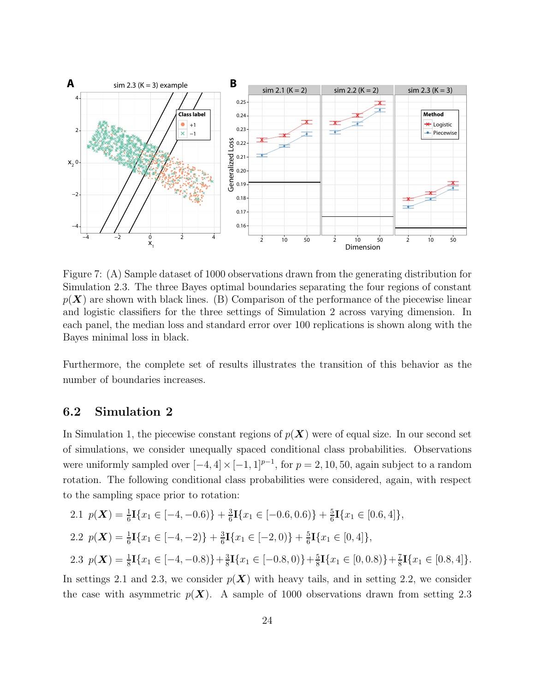

<span id="page-24-0"></span>Figure 7: (A) Sample dataset of 1000 observations drawn from the generating distribution for Simulation 2.3. The three Bayes optimal boundaries separating the four regions of constant  $p(X)$  are shown with black lines. (B) Comparison of the performance of the piecewise linear and logistic classifiers for the three settings of Simulation 2 across varying dimension. In each panel, the median loss and standard error over 100 replications is shown along with the Bayes minimal loss in black.

Furthermore, the complete set of results illustrates the transition of this behavior as the number of boundaries increases.

### 6.2 Simulation 2

In Simulation 1, the piecewise constant regions of  $p(X)$  were of equal size. In our second set of simulations, we consider unequally spaced conditional class probabilities. Observations were uniformly sampled over  $[-4, 4] \times [-1, 1]^{p-1}$ , for  $p = 2, 10, 50$ , again subject to a random rotation. The following conditional class probabilities were considered, again, with respect to the sampling space prior to rotation:

2.1 
$$
p(\mathbf{X}) = \frac{1}{6} \mathbf{I} \{x_1 \in [-4, -0.6)\} + \frac{3}{6} \mathbf{I} \{x_1 \in [-0.6, 0.6)\} + \frac{5}{6} \mathbf{I} \{x_1 \in [0.6, 4]\},
$$
  
\n2.2  $p(\mathbf{X}) = \frac{1}{6} \mathbf{I} \{x_1 \in [-4, -2)\} + \frac{3}{6} \mathbf{I} \{x_1 \in [-2, 0)\} + \frac{5}{6} \mathbf{I} \{x_1 \in [0, 4]\},$   
\n2.3  $p(\mathbf{X}) = \frac{1}{8} \mathbf{I} \{x_1 \in [-4, -0.8)\} + \frac{3}{8} \mathbf{I} \{x_1 \in [-0.8, 0)\} + \frac{5}{8} \mathbf{I} \{x_1 \in [0, 0.8)\} + \frac{7}{8} \mathbf{I} \{x_1 \in [0.8, 4]\}.$ 

In settings 2.1 and 2.3, we consider  $p(X)$  with heavy tails, and in setting 2.2, we consider the case with asymmetric  $p(X)$ . A sample of 1000 observations drawn from setting 2.3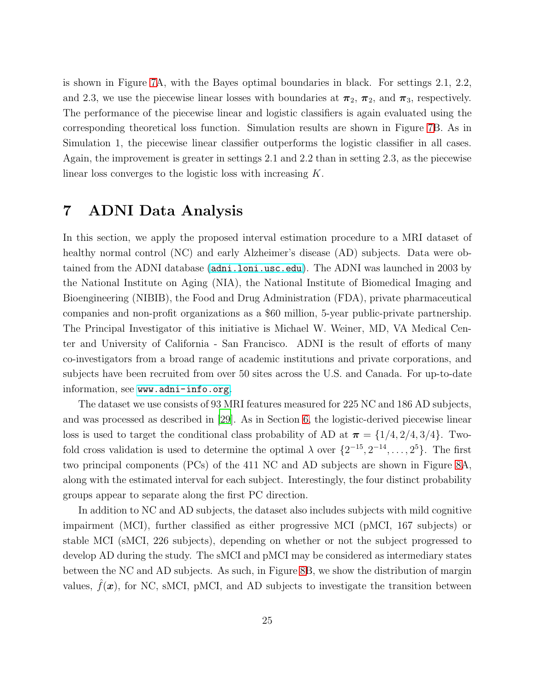is shown in Figure [7A](#page-24-0), with the Bayes optimal boundaries in black. For settings 2.1, 2.2, and 2.3, we use the piecewise linear losses with boundaries at  $\pi_2$ ,  $\pi_2$ , and  $\pi_3$ , respectively. The performance of the piecewise linear and logistic classifiers is again evaluated using the corresponding theoretical loss function. Simulation results are shown in Figure [7B](#page-24-0). As in Simulation 1, the piecewise linear classifier outperforms the logistic classifier in all cases. Again, the improvement is greater in settings 2.1 and 2.2 than in setting 2.3, as the piecewise linear loss converges to the logistic loss with increasing K.

## 7 ADNI Data Analysis

In this section, we apply the proposed interval estimation procedure to a MRI dataset of healthy normal control (NC) and early Alzheimer's disease (AD) subjects. Data were obtained from the ADNI database (<adni.loni.usc.edu>). The ADNI was launched in 2003 by the National Institute on Aging (NIA), the National Institute of Biomedical Imaging and Bioengineering (NIBIB), the Food and Drug Administration (FDA), private pharmaceutical companies and non-profit organizations as a \$60 million, 5-year public-private partnership. The Principal Investigator of this initiative is Michael W. Weiner, MD, VA Medical Center and University of California - San Francisco. ADNI is the result of efforts of many co-investigators from a broad range of academic institutions and private corporations, and subjects have been recruited from over 50 sites across the U.S. and Canada. For up-to-date information, see <www.adni-info.org>.

The dataset we use consists of 93 MRI features measured for 225 NC and 186 AD subjects, and was processed as described in [\[29\]](#page-29-10). As in Section [6,](#page-34-0) the logistic-derived piecewise linear loss is used to target the conditional class probability of AD at  $\pi = \{1/4, 2/4, 3/4\}$ . Twofold cross validation is used to determine the optimal  $\lambda$  over  $\{2^{-15}, 2^{-14}, \ldots, 2^5\}$ . The first two principal components (PCs) of the 411 NC and AD subjects are shown in Figure [8A](#page-26-0), along with the estimated interval for each subject. Interestingly, the four distinct probability groups appear to separate along the first PC direction.

In addition to NC and AD subjects, the dataset also includes subjects with mild cognitive impairment (MCI), further classified as either progressive MCI (pMCI, 167 subjects) or stable MCI (sMCI, 226 subjects), depending on whether or not the subject progressed to develop AD during the study. The sMCI and pMCI may be considered as intermediary states between the NC and AD subjects. As such, in Figure [8B](#page-26-0), we show the distribution of margin values,  $f(x)$ , for NC, sMCI, pMCI, and AD subjects to investigate the transition between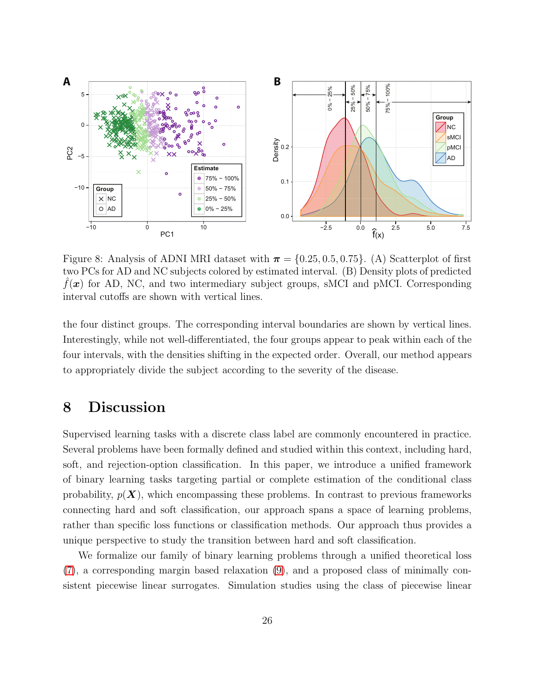

<span id="page-26-0"></span>Figure 8: Analysis of ADNI MRI dataset with  $\pi = \{0.25, 0.5, 0.75\}$ . (A) Scatterplot of first two PCs for AD and NC subjects colored by estimated interval. (B) Density plots of predicted  $f(\mathbf{x})$  for AD, NC, and two intermediary subject groups, sMCI and pMCI. Corresponding interval cutoffs are shown with vertical lines.

the four distinct groups. The corresponding interval boundaries are shown by vertical lines. Interestingly, while not well-differentiated, the four groups appear to peak within each of the four intervals, with the densities shifting in the expected order. Overall, our method appears to appropriately divide the subject according to the severity of the disease.

## 8 Discussion

Supervised learning tasks with a discrete class label are commonly encountered in practice. Several problems have been formally defined and studied within this context, including hard, soft, and rejection-option classification. In this paper, we introduce a unified framework of binary learning tasks targeting partial or complete estimation of the conditional class probability,  $p(X)$ , which encompassing these problems. In contrast to previous frameworks connecting hard and soft classification, our approach spans a space of learning problems, rather than specific loss functions or classification methods. Our approach thus provides a unique perspective to study the transition between hard and soft classification.

We formalize our family of binary learning problems through a unified theoretical loss [\(7\)](#page-8-0), a corresponding margin based relaxation [\(9\)](#page-11-1), and a proposed class of minimally consistent piecewise linear surrogates. Simulation studies using the class of piecewise linear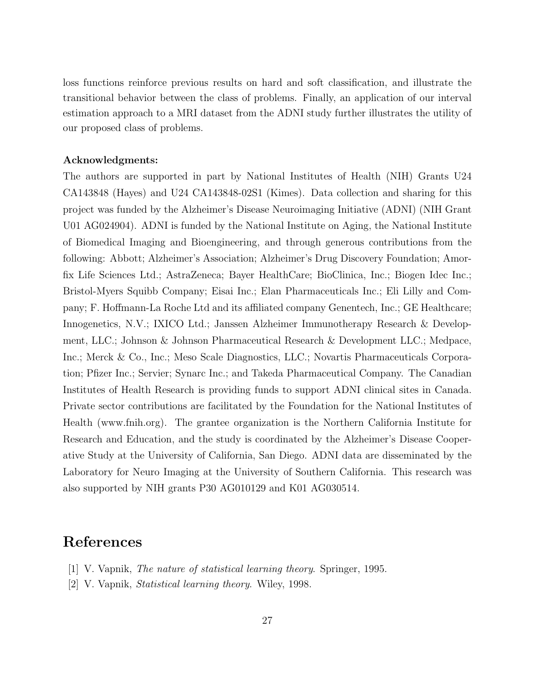loss functions reinforce previous results on hard and soft classification, and illustrate the transitional behavior between the class of problems. Finally, an application of our interval estimation approach to a MRI dataset from the ADNI study further illustrates the utility of our proposed class of problems.

#### Acknowledgments:

The authors are supported in part by National Institutes of Health (NIH) Grants U24 CA143848 (Hayes) and U24 CA143848-02S1 (Kimes). Data collection and sharing for this project was funded by the Alzheimer's Disease Neuroimaging Initiative (ADNI) (NIH Grant U01 AG024904). ADNI is funded by the National Institute on Aging, the National Institute of Biomedical Imaging and Bioengineering, and through generous contributions from the following: Abbott; Alzheimer's Association; Alzheimer's Drug Discovery Foundation; Amorfix Life Sciences Ltd.; AstraZeneca; Bayer HealthCare; BioClinica, Inc.; Biogen Idec Inc.; Bristol-Myers Squibb Company; Eisai Inc.; Elan Pharmaceuticals Inc.; Eli Lilly and Company; F. Hoffmann-La Roche Ltd and its affiliated company Genentech, Inc.; GE Healthcare; Innogenetics, N.V.; IXICO Ltd.; Janssen Alzheimer Immunotherapy Research & Development, LLC.; Johnson & Johnson Pharmaceutical Research & Development LLC.; Medpace, Inc.; Merck & Co., Inc.; Meso Scale Diagnostics, LLC.; Novartis Pharmaceuticals Corporation; Pfizer Inc.; Servier; Synarc Inc.; and Takeda Pharmaceutical Company. The Canadian Institutes of Health Research is providing funds to support ADNI clinical sites in Canada. Private sector contributions are facilitated by the Foundation for the National Institutes of Health (www.fnih.org). The grantee organization is the Northern California Institute for Research and Education, and the study is coordinated by the Alzheimer's Disease Cooperative Study at the University of California, San Diego. ADNI data are disseminated by the Laboratory for Neuro Imaging at the University of Southern California. This research was also supported by NIH grants P30 AG010129 and K01 AG030514.

## References

- <span id="page-27-0"></span>[1] V. Vapnik, *The nature of statistical learning theory*. Springer, 1995.
- <span id="page-27-1"></span>[2] V. Vapnik, *Statistical learning theory*. Wiley, 1998.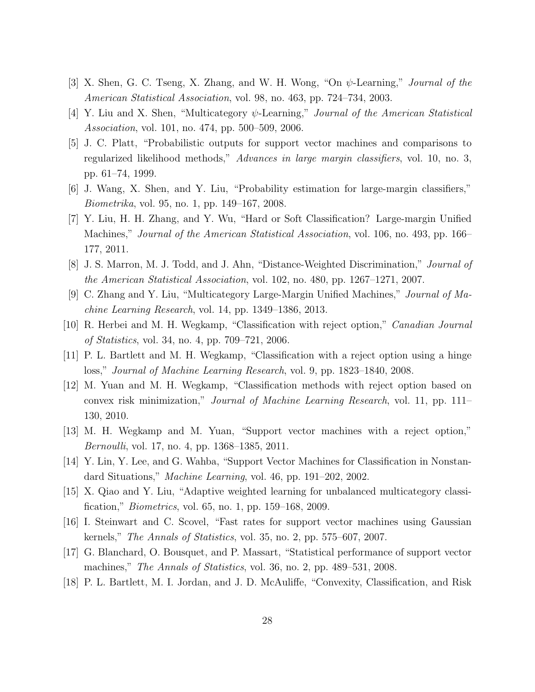- <span id="page-28-0"></span>[3] X. Shen, G. C. Tseng, X. Zhang, and W. H. Wong, "On ψ-Learning," *Journal of the American Statistical Association*, vol. 98, no. 463, pp. 724–734, 2003.
- <span id="page-28-1"></span>[4] Y. Liu and X. Shen, "Multicategory ψ-Learning," *Journal of the American Statistical Association*, vol. 101, no. 474, pp. 500–509, 2006.
- <span id="page-28-2"></span>[5] J. C. Platt, "Probabilistic outputs for support vector machines and comparisons to regularized likelihood methods," *Advances in large margin classifiers*, vol. 10, no. 3, pp. 61–74, 1999.
- <span id="page-28-3"></span>[6] J. Wang, X. Shen, and Y. Liu, "Probability estimation for large-margin classifiers," *Biometrika*, vol. 95, no. 1, pp. 149–167, 2008.
- <span id="page-28-4"></span>[7] Y. Liu, H. H. Zhang, and Y. Wu, "Hard or Soft Classification? Large-margin Unified Machines," *Journal of the American Statistical Association*, vol. 106, no. 493, pp. 166– 177, 2011.
- <span id="page-28-5"></span>[8] J. S. Marron, M. J. Todd, and J. Ahn, "Distance-Weighted Discrimination," *Journal of the American Statistical Association*, vol. 102, no. 480, pp. 1267–1271, 2007.
- <span id="page-28-6"></span>[9] C. Zhang and Y. Liu, "Multicategory Large-Margin Unified Machines," *Journal of Machine Learning Research*, vol. 14, pp. 1349–1386, 2013.
- <span id="page-28-7"></span>[10] R. Herbei and M. H. Wegkamp, "Classification with reject option," *Canadian Journal of Statistics*, vol. 34, no. 4, pp. 709–721, 2006.
- <span id="page-28-8"></span>[11] P. L. Bartlett and M. H. Wegkamp, "Classification with a reject option using a hinge loss," *Journal of Machine Learning Research*, vol. 9, pp. 1823–1840, 2008.
- <span id="page-28-9"></span>[12] M. Yuan and M. H. Wegkamp, "Classification methods with reject option based on convex risk minimization," *Journal of Machine Learning Research*, vol. 11, pp. 111– 130, 2010.
- <span id="page-28-10"></span>[13] M. H. Wegkamp and M. Yuan, "Support vector machines with a reject option," *Bernoulli*, vol. 17, no. 4, pp. 1368–1385, 2011.
- <span id="page-28-11"></span>[14] Y. Lin, Y. Lee, and G. Wahba, "Support Vector Machines for Classification in Nonstandard Situations," *Machine Learning*, vol. 46, pp. 191–202, 2002.
- <span id="page-28-12"></span>[15] X. Qiao and Y. Liu, "Adaptive weighted learning for unbalanced multicategory classification," *Biometrics*, vol. 65, no. 1, pp. 159–168, 2009.
- <span id="page-28-13"></span>[16] I. Steinwart and C. Scovel, "Fast rates for support vector machines using Gaussian kernels," *The Annals of Statistics*, vol. 35, no. 2, pp. 575–607, 2007.
- <span id="page-28-14"></span>[17] G. Blanchard, O. Bousquet, and P. Massart, "Statistical performance of support vector machines," *The Annals of Statistics*, vol. 36, no. 2, pp. 489–531, 2008.
- <span id="page-28-15"></span>[18] P. L. Bartlett, M. I. Jordan, and J. D. McAuliffe, "Convexity, Classification, and Risk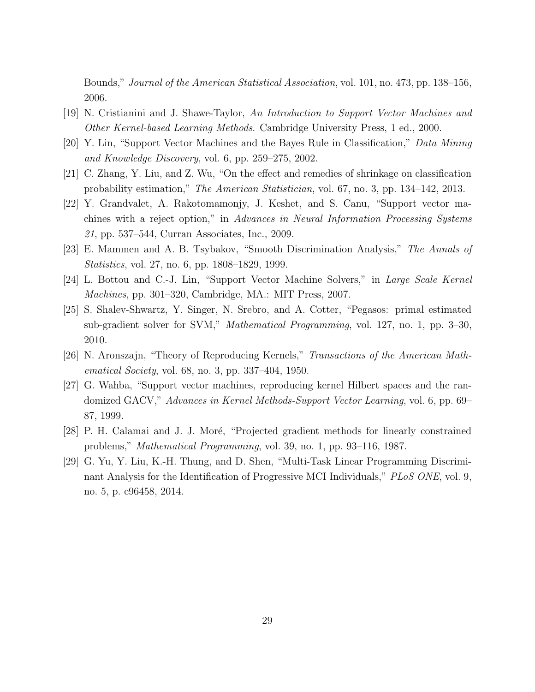Bounds," *Journal of the American Statistical Association*, vol. 101, no. 473, pp. 138–156, 2006.

- <span id="page-29-0"></span>[19] N. Cristianini and J. Shawe-Taylor, *An Introduction to Support Vector Machines and Other Kernel-based Learning Methods*. Cambridge University Press, 1 ed., 2000.
- <span id="page-29-1"></span>[20] Y. Lin, "Support Vector Machines and the Bayes Rule in Classification," *Data Mining and Knowledge Discovery*, vol. 6, pp. 259–275, 2002.
- <span id="page-29-2"></span>[21] C. Zhang, Y. Liu, and Z. Wu, "On the effect and remedies of shrinkage on classification probability estimation," *The American Statistician*, vol. 67, no. 3, pp. 134–142, 2013.
- <span id="page-29-3"></span>[22] Y. Grandvalet, A. Rakotomamonjy, J. Keshet, and S. Canu, "Support vector machines with a reject option," in *Advances in Neural Information Processing Systems 21*, pp. 537–544, Curran Associates, Inc., 2009.
- <span id="page-29-4"></span>[23] E. Mammen and A. B. Tsybakov, "Smooth Discrimination Analysis," *The Annals of Statistics*, vol. 27, no. 6, pp. 1808–1829, 1999.
- <span id="page-29-5"></span>[24] L. Bottou and C.-J. Lin, "Support Vector Machine Solvers," in *Large Scale Kernel Machines*, pp. 301–320, Cambridge, MA.: MIT Press, 2007.
- <span id="page-29-6"></span>[25] S. Shalev-Shwartz, Y. Singer, N. Srebro, and A. Cotter, "Pegasos: primal estimated sub-gradient solver for SVM," *Mathematical Programming*, vol. 127, no. 1, pp. 3–30, 2010.
- <span id="page-29-7"></span>[26] N. Aronszajn, "Theory of Reproducing Kernels," *Transactions of the American Mathematical Society*, vol. 68, no. 3, pp. 337–404, 1950.
- <span id="page-29-8"></span>[27] G. Wahba, "Support vector machines, reproducing kernel Hilbert spaces and the randomized GACV," *Advances in Kernel Methods-Support Vector Learning*, vol. 6, pp. 69– 87, 1999.
- <span id="page-29-9"></span>[28] P. H. Calamai and J. J. Moré, "Projected gradient methods for linearly constrained problems," *Mathematical Programming*, vol. 39, no. 1, pp. 93–116, 1987.
- <span id="page-29-10"></span>[29] G. Yu, Y. Liu, K.-H. Thung, and D. Shen, "Multi-Task Linear Programming Discriminant Analysis for the Identification of Progressive MCI Individuals," *PLoS ONE*, vol. 9, no. 5, p. e96458, 2014.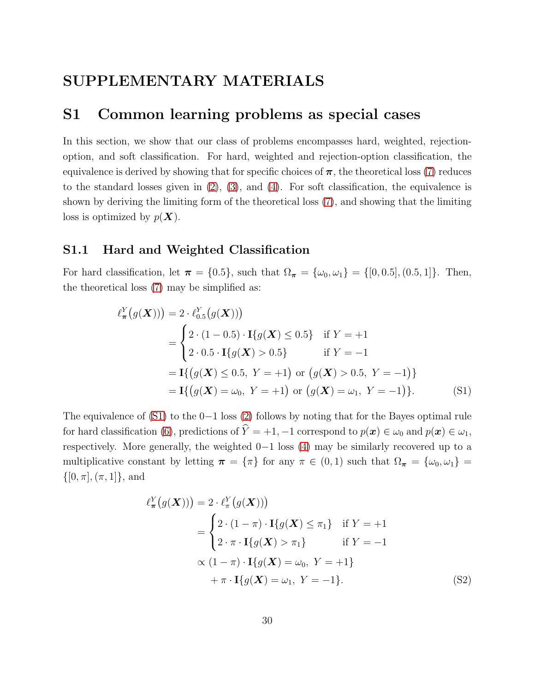## <span id="page-30-0"></span>SUPPLEMENTARY MATERIALS

### S1 Common learning problems as special cases

In this section, we show that our class of problems encompasses hard, weighted, rejectionoption, and soft classification. For hard, weighted and rejection-option classification, the equivalence is derived by showing that for specific choices of  $\pi$ , the theoretical loss [\(7\)](#page-8-0) reduces to the standard losses given in  $(2)$ ,  $(3)$ , and  $(4)$ . For soft classification, the equivalence is shown by deriving the limiting form of the theoretical loss [\(7\)](#page-8-0), and showing that the limiting loss is optimized by  $p(\boldsymbol{X})$ .

### S1.1 Hard and Weighted Classification

For hard classification, let  $\pi = \{0.5\}$ , such that  $\Omega_{\pi} = \{\omega_0, \omega_1\} = \{[0, 0.5], (0.5, 1]\}$ . Then, the theoretical loss [\(7\)](#page-8-0) may be simplified as:

$$
\ell_{\pi}^{Y}(g(\boldsymbol{X}))) = 2 \cdot \ell_{0.5}^{Y}(g(\boldsymbol{X})))
$$
\n
$$
= \begin{cases}\n2 \cdot (1 - 0.5) \cdot \mathbf{I}\{g(\boldsymbol{X}) \le 0.5\} & \text{if } Y = +1 \\
2 \cdot 0.5 \cdot \mathbf{I}\{g(\boldsymbol{X}) > 0.5\} & \text{if } Y = -1\n\end{cases}
$$
\n
$$
= \mathbf{I}\{(g(\boldsymbol{X}) \le 0.5, Y = +1) \text{ or } (g(\boldsymbol{X}) > 0.5, Y = -1)\}
$$
\n
$$
= \mathbf{I}\{(g(\boldsymbol{X}) = \omega_0, Y = +1) \text{ or } (g(\boldsymbol{X}) = \omega_1, Y = -1)\}.
$$
\n(S1)

The equivalence of [\(S1\)](#page-30-1) to the 0−1 loss [\(2\)](#page-4-0) follows by noting that for the Bayes optimal rule for hard classification [\(6\)](#page-6-1), predictions of  $\hat{Y} = +1, -1$  correspond to  $p(x) \in \omega_0$  and  $p(x) \in \omega_1$ , respectively. More generally, the weighted 0−1 loss [\(4\)](#page-5-0) may be similarly recovered up to a multiplicative constant by letting  $\pi = {\pi}$  for any  $\pi \in (0,1)$  such that  $\Omega_{\pi} = {\omega_0, \omega_1}$  $\{[0, \pi], (\pi, 1]\},$  and

<span id="page-30-2"></span><span id="page-30-1"></span>
$$
\ell_{\pi}^{Y}(g(\boldsymbol{X}))) = 2 \cdot \ell_{\pi}^{Y}(g(\boldsymbol{X})))
$$
\n
$$
= \begin{cases}\n2 \cdot (1 - \pi) \cdot \mathbf{I}\{g(\boldsymbol{X}) \leq \pi_{1}\} & \text{if } Y = +1 \\
2 \cdot \pi \cdot \mathbf{I}\{g(\boldsymbol{X}) > \pi_{1}\} & \text{if } Y = -1\n\end{cases}
$$
\n
$$
\propto (1 - \pi) \cdot \mathbf{I}\{g(\boldsymbol{X}) = \omega_{0}, Y = +1\}
$$
\n
$$
+ \pi \cdot \mathbf{I}\{g(\boldsymbol{X}) = \omega_{1}, Y = -1\}.
$$
\n(S2)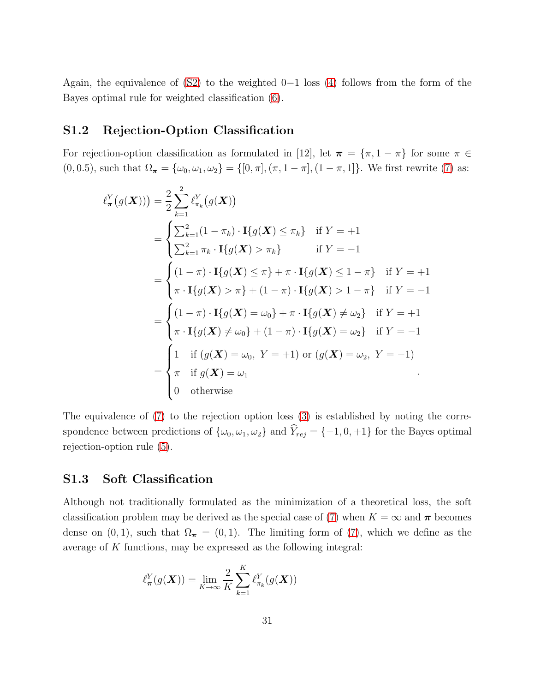Again, the equivalence of  $(S2)$  to the weighted 0−1 loss [\(4\)](#page-5-0) follows from the form of the Bayes optimal rule for weighted classification [\(6\)](#page-6-1).

### S1.2 Rejection-Option Classification

For rejection-option classification as formulated in [12], let  $\pi = {\pi, 1 - \pi}$  for some  $\pi \in$ (0, 0.5), such that  $\Omega_{\pi} = {\omega_0, \omega_1, \omega_2} = {\{[0, \pi], (\pi, 1 - \pi], (1 - \pi, 1] \}}$ . We first rewrite [\(7\)](#page-8-0) as:

$$
\ell_{\pi}^{Y}(g(\boldsymbol{X}))) = \frac{2}{2} \sum_{k=1}^{2} \ell_{\pi_{k}}^{Y}(g(\boldsymbol{X}))
$$
  
\n
$$
= \begin{cases}\n\sum_{k=1}^{2} (1 - \pi_{k}) \cdot \mathbf{I}\{g(\boldsymbol{X}) \leq \pi_{k}\} & \text{if } Y = +1 \\
\sum_{k=1}^{2} \pi_{k} \cdot \mathbf{I}\{g(\boldsymbol{X}) > \pi_{k}\} & \text{if } Y = -1\n\end{cases}
$$
  
\n
$$
= \begin{cases}\n(1 - \pi) \cdot \mathbf{I}\{g(\boldsymbol{X}) \leq \pi\} + \pi \cdot \mathbf{I}\{g(\boldsymbol{X}) \leq 1 - \pi\} & \text{if } Y = +1 \\
\pi \cdot \mathbf{I}\{g(\boldsymbol{X}) > \pi\} + (1 - \pi) \cdot \mathbf{I}\{g(\boldsymbol{X}) > 1 - \pi\} & \text{if } Y = -1\n\end{cases}
$$
  
\n
$$
= \begin{cases}\n(1 - \pi) \cdot \mathbf{I}\{g(\boldsymbol{X}) = \omega_{0}\} + \pi \cdot \mathbf{I}\{g(\boldsymbol{X}) \neq \omega_{2}\} & \text{if } Y = +1 \\
\pi \cdot \mathbf{I}\{g(\boldsymbol{X}) \neq \omega_{0}\} + (1 - \pi) \cdot \mathbf{I}\{g(\boldsymbol{X}) = \omega_{2}\} & \text{if } Y = -1\n\end{cases}
$$
  
\n
$$
= \begin{cases}\n1 & \text{if } (g(\boldsymbol{X}) = \omega_{0}, Y = +1) \text{ or } (g(\boldsymbol{X}) = \omega_{2}, Y = -1) \\
\pi & \text{if } g(\boldsymbol{X}) = \omega_{1} \\
0 & \text{otherwise}\n\end{cases}
$$

The equivalence of [\(7\)](#page-8-0) to the rejection option loss [\(3\)](#page-4-1) is established by noting the correspondence between predictions of  $\{\omega_0, \omega_1, \omega_2\}$  and  $\widehat{Y}_{rej} = \{-1, 0, +1\}$  for the Bayes optimal rejection-option rule [\(5\)](#page-6-0).

### S1.3 Soft Classification

Although not traditionally formulated as the minimization of a theoretical loss, the soft classification problem may be derived as the special case of [\(7\)](#page-8-0) when  $K = \infty$  and  $\pi$  becomes dense on  $(0, 1)$ , such that  $\Omega_{\pi} = (0, 1)$ . The limiting form of [\(7\)](#page-8-0), which we define as the average of K functions, may be expressed as the following integral:

$$
\ell_{\boldsymbol{\pi}}^Y(g(\boldsymbol{X})) = \lim_{K \to \infty} \frac{2}{K} \sum_{k=1}^K \ell_{\pi_k}^Y(g(\boldsymbol{X}))
$$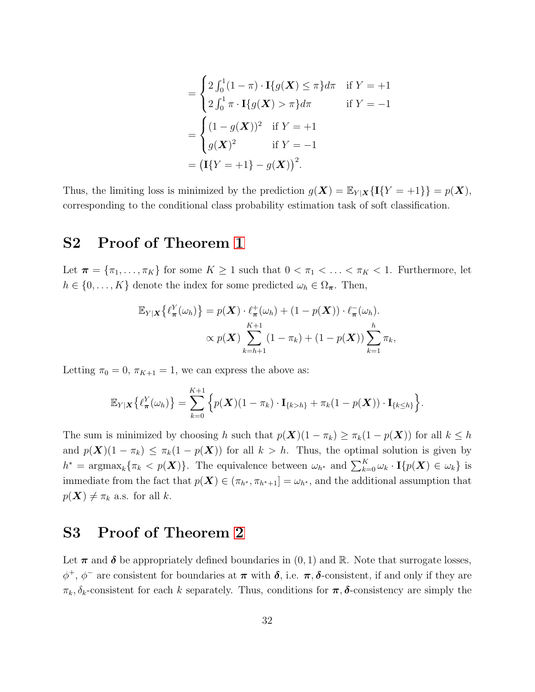$$
= \begin{cases} 2\int_0^1 (1-\pi) \cdot \mathbf{I}\{g(\mathbf{X}) \le \pi\} d\pi & \text{if } Y = +1 \\ 2\int_0^1 \pi \cdot \mathbf{I}\{g(\mathbf{X}) > \pi\} d\pi & \text{if } Y = -1 \end{cases}
$$

$$
= \begin{cases} (1-g(\mathbf{X}))^2 & \text{if } Y = +1 \\ g(\mathbf{X})^2 & \text{if } Y = -1 \end{cases}
$$

$$
= (\mathbf{I}\{Y = +1\} - g(\mathbf{X}))^2.
$$

Thus, the limiting loss is minimized by the prediction  $g(\mathbf{X}) = \mathbb{E}_{Y|\mathbf{X}}\{\mathbf{I}\{Y = +1\}\} = p(\mathbf{X}),$ corresponding to the conditional class probability estimation task of soft classification.

## <span id="page-32-0"></span>S2 Proof of Theorem [1](#page-9-1)

Let  $\pi = {\pi_1, \ldots, \pi_K}$  for some  $K \geq 1$  such that  $0 < \pi_1 < \ldots < \pi_K < 1$ . Furthermore, let  $h \in \{0, \ldots, K\}$  denote the index for some predicted  $\omega_h \in \Omega_{\pi}$ . Then,

$$
\mathbb{E}_{Y|\mathbf{X}}\left\{\ell_{\boldsymbol{\pi}}^{Y}(\omega_{h})\right\} = p(\mathbf{X}) \cdot \ell_{\boldsymbol{\pi}}^{+}(\omega_{h}) + (1 - p(\mathbf{X})) \cdot \ell_{\boldsymbol{\pi}}^{-}(\omega_{h}).
$$
  
 
$$
\propto p(\mathbf{X}) \sum_{k=h+1}^{K+1} (1 - \pi_{k}) + (1 - p(\mathbf{X})) \sum_{k=1}^{h} \pi_{k},
$$

Letting  $\pi_0 = 0$ ,  $\pi_{K+1} = 1$ , we can express the above as:

$$
\mathbb{E}_{Y|\mathbf{X}}\left\{\ell_{\boldsymbol{\pi}}^{Y}(\omega_{h})\right\} = \sum_{k=0}^{K+1} \left\{p(\mathbf{X})(1-\pi_{k})\cdot\mathbf{I}_{\{k>h\}} + \pi_{k}(1-p(\mathbf{X}))\cdot\mathbf{I}_{\{k\leq h\}}\right\}.
$$

The sum is minimized by choosing h such that  $p(\mathbf{X})(1 - \pi_k) \geq \pi_k(1 - p(\mathbf{X}))$  for all  $k \leq h$ and  $p(\mathbf{X})(1 - \pi_k) \leq \pi_k(1 - p(\mathbf{X}))$  for all  $k > h$ . Thus, the optimal solution is given by  $h^* = \operatorname{argmax}_k \{ \pi_k < p(\boldsymbol{X}) \}.$  The equivalence between  $\omega_{h^*}$  and  $\sum_{k=0}^K \omega_k \cdot \mathbf{I} \{ p(\boldsymbol{X}) \in \omega_k \}$  is immediate from the fact that  $p(X) \in (\pi_{h^*}, \pi_{h^*+1}] = \omega_{h^*}$ , and the additional assumption that  $p(\boldsymbol{X}) \neq \pi_k$  a.s. for all k.

### <span id="page-32-1"></span>S3 Proof of Theorem [2](#page-12-0)

Let  $\pi$  and  $\delta$  be appropriately defined boundaries in  $(0, 1)$  and R. Note that surrogate losses,  $\phi^+, \phi^-$  are consistent for boundaries at  $\pi$  with  $\delta$ , i.e.  $\pi, \delta$ -consistent, if and only if they are  $\pi_k, \delta_k$ -consistent for each k separately. Thus, conditions for  $\pi, \delta$ -consistency are simply the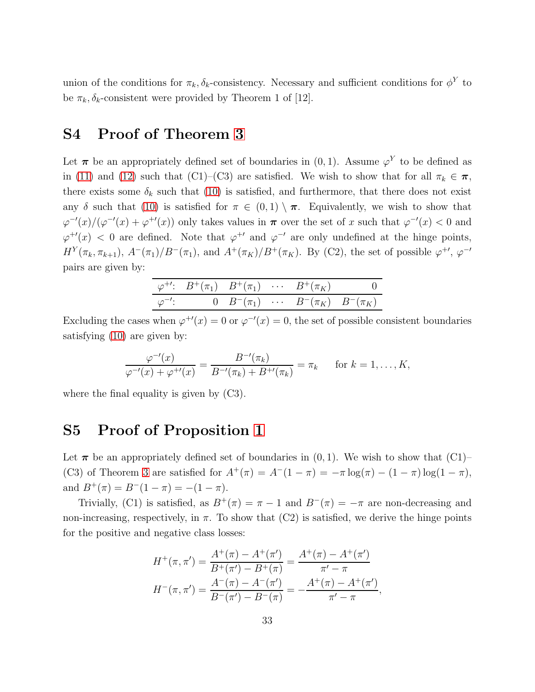union of the conditions for  $\pi_k, \delta_k$ -consistency. Necessary and sufficient conditions for  $\phi^Y$  to be  $\pi_k, \delta_k$ -consistent were provided by Theorem 1 of [12].

## <span id="page-33-0"></span>S4 Proof of Theorem [3](#page-14-2)

Let  $\pi$  be an appropriately defined set of boundaries in  $(0, 1)$ . Assume  $\varphi^{Y}$  to be defined as in [\(11\)](#page-14-0) and [\(12\)](#page-14-1) such that (C1)–(C3) are satisfied. We wish to show that for all  $\pi_k \in \pi$ , there exists some  $\delta_k$  such that [\(10\)](#page-12-1) is satisfied, and furthermore, that there does not exist any δ such that [\(10\)](#page-12-1) is satisfied for  $\pi \in (0,1) \setminus \pi$ . Equivalently, we wish to show that  $\varphi^{-\prime}(x)/(\varphi^{-\prime}(x)+\varphi^{+\prime}(x))$  only takes values in  $\pi$  over the set of x such that  $\varphi^{-\prime}(x) < 0$  and  $\varphi^{+\prime}(x)$  < 0 are defined. Note that  $\varphi^{+\prime}$  and  $\varphi^{-\prime}$  are only undefined at the hinge points,  $H^Y(\pi_k, \pi_{k+1}), A^-(\pi_1)/B^-(\pi_1),$  and  $A^+(\pi_K)/B^+(\pi_K)$ . By (C2), the set of possible  $\varphi^{+\prime}, \varphi^{-\prime}$ pairs are given by:

|  |  | $\varphi^{+'}: B^{+}(\pi_1) B^{+}(\pi_1) \cdots B^{+}(\pi_K)$ 0 |  |
|--|--|-----------------------------------------------------------------|--|
|  |  | $\varphi^{-1}$ : 0 $B^{-}(\pi_1)$ $B^{-}(\pi_K)$ $B^{-}(\pi_K)$ |  |

Excluding the cases when  $\varphi^{+\prime}(x) = 0$  or  $\varphi^{-\prime}(x) = 0$ , the set of possible consistent boundaries satisfying [\(10\)](#page-12-1) are given by:

$$
\frac{\varphi^{-\prime}(x)}{\varphi^{-\prime}(x) + \varphi^{+\prime}(x)} = \frac{B^{-\prime}(\pi_k)}{B^{-\prime}(\pi_k) + B^{+\prime}(\pi_k)} = \pi_k \quad \text{for } k = 1, \dots, K,
$$

<span id="page-33-1"></span>where the final equality is given by (C3).

## S5 Proof of Proposition [1](#page-16-1)

Let  $\pi$  be an appropriately defined set of boundaries in  $(0, 1)$ . We wish to show that  $(C1)$ – (C3) of Theorem [3](#page-14-2) are satisfied for  $A^+(\pi) = A^-(1-\pi) = -\pi \log(\pi) - (1-\pi) \log(1-\pi)$ , and  $B^{+}(\pi) = B^{-}(1 - \pi) = -(1 - \pi)$ .

Trivially, (C1) is satisfied, as  $B^+(\pi) = \pi - 1$  and  $B^-(\pi) = -\pi$  are non-decreasing and non-increasing, respectively, in  $\pi$ . To show that (C2) is satisfied, we derive the hinge points for the positive and negative class losses:

$$
H^+(\pi, \pi') = \frac{A^+(\pi) - A^+(\pi')}{B^+(\pi') - B^+(\pi)} = \frac{A^+(\pi) - A^+(\pi')}{\pi' - \pi}
$$

$$
H^-(\pi, \pi') = \frac{A^-(\pi) - A^-(\pi')}{B^-(\pi') - B^-(\pi)} = \frac{A^+(\pi) - A^+(\pi')}{\pi' - \pi},
$$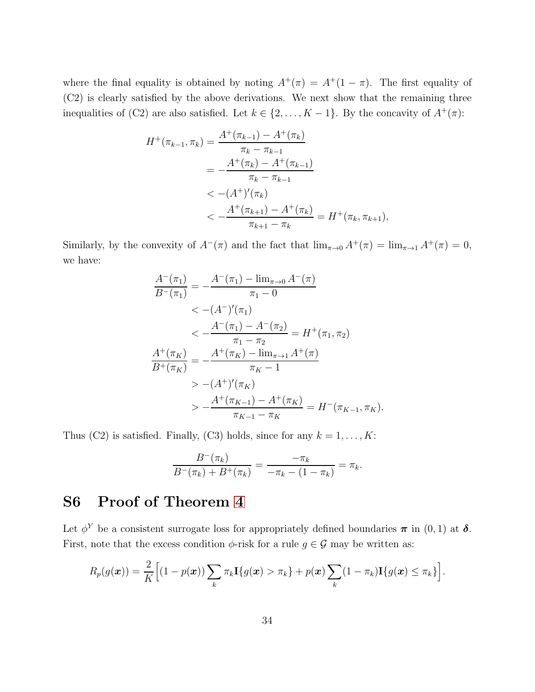where the final equality is obtained by noting  $A^+(\pi) = A^+(1-\pi)$ . The first equality of (C2) is clearly satisfied by the above derivations. We next show that the remaining three inequalities of (C2) are also satisfied. Let  $k \in \{2, ..., K-1\}$ . By the concavity of  $A^+(\pi)$ :

$$
H^{+}(\pi_{k-1}, \pi_{k}) = \frac{A^{+}(\pi_{k-1}) - A^{+}(\pi_{k})}{\pi_{k} - \pi_{k-1}}
$$
  
= 
$$
-\frac{A^{+}(\pi_{k}) - A^{+}(\pi_{k-1})}{\pi_{k} - \pi_{k-1}}
$$
  
< 
$$
< -(A^{+})'(\pi_{k})
$$
  

$$
< -\frac{A^{+}(\pi_{k+1}) - A^{+}(\pi_{k})}{\pi_{k+1} - \pi_{k}} = H^{+}(\pi_{k}, \pi_{k+1}),
$$

Similarly, by the convexity of  $A^{-}(\pi)$  and the fact that  $\lim_{\pi\to 0} A^{+}(\pi) = \lim_{\pi\to 1} A^{+}(\pi) = 0$ , we have:

$$
\frac{A^{-}(\pi_{1})}{B^{-}(\pi_{1})} = -\frac{A^{-}(\pi_{1}) - \lim_{\pi \to 0} A^{-}(\pi)}{\pi_{1} - 0}
$$
\n
$$
< -(A^{-})'(\pi_{1})
$$
\n
$$
< -\frac{A^{-}(\pi_{1}) - A^{-}(\pi_{2})}{\pi_{1} - \pi_{2}} = H^{+}(\pi_{1}, \pi_{2})
$$
\n
$$
\frac{A^{+}(\pi_{K})}{B^{+}(\pi_{K})} = -\frac{A^{+}(\pi_{K}) - \lim_{\pi \to 1} A^{+}(\pi)}{\pi_{K} - 1}
$$
\n
$$
> -(A^{+})'(\pi_{K})
$$
\n
$$
> -\frac{A^{+}(\pi_{K-1}) - A^{+}(\pi_{K})}{\pi_{K-1} - \pi_{K}} = H^{-}(\pi_{K-1}, \pi_{K}).
$$

Thus (C2) is satisfied. Finally, (C3) holds, since for any  $k = 1, ..., K$ :

$$
\frac{B^-(\pi_k)}{B^-(\pi_k) + B^+(\pi_k)} = \frac{-\pi_k}{-\pi_k - (1 - \pi_k)} = \pi_k.
$$

## <span id="page-34-0"></span>S6 Proof of Theorem [4](#page-17-2)

Let  $\phi^Y$  be a consistent surrogate loss for appropriately defined boundaries  $\pi$  in  $(0, 1)$  at  $\delta$ . First, note that the excess condition  $\phi$ -risk for a rule  $g \in \mathcal{G}$  may be written as:

$$
R_p(g(\boldsymbol{x})) = \frac{2}{K} \Big[ (1-p(\boldsymbol{x})) \sum_k \pi_k \mathbf{I}\{g(\boldsymbol{x}) > \pi_k\} + p(\boldsymbol{x}) \sum_k (1-\pi_k) \mathbf{I}\{g(\boldsymbol{x}) \leq \pi_k\} \Big].
$$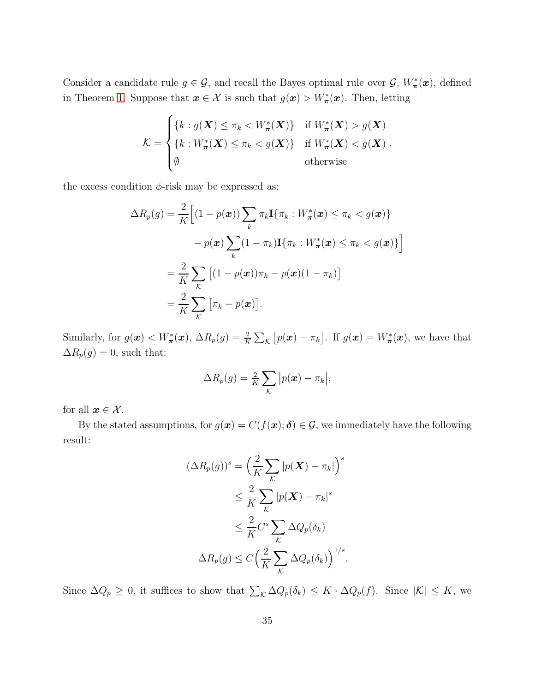Consider a candidate rule  $g \in \mathcal{G}$ , and recall the Bayes optimal rule over  $\mathcal{G}, W^*_{\pi}(x)$ , defined in Theorem [1.](#page-9-1) Suppose that  $x \in \mathcal{X}$  is such that  $g(x) > W^*_{\pi}(x)$ . Then, letting

$$
\mathcal{K} = \begin{cases} \{k : g(\boldsymbol{X}) \leq \pi_k < W^*_{\boldsymbol{\pi}}(\boldsymbol{X})\} & \text{if } W^*_{\boldsymbol{\pi}}(\boldsymbol{X}) > g(\boldsymbol{X})\\ \{k : W^*_{\boldsymbol{\pi}}(\boldsymbol{X}) \leq \pi_k < g(\boldsymbol{X})\} & \text{if } W^*_{\boldsymbol{\pi}}(\boldsymbol{X}) < g(\boldsymbol{X})\\ \emptyset & \text{otherwise} \end{cases}
$$

the excess condition  $\phi$ -risk may be expressed as:

$$
\Delta R_p(g) = \frac{2}{K} \Big[ (1 - p(\boldsymbol{x})) \sum_k \pi_k \mathbf{I} \{ \pi_k : W^*_{\boldsymbol{\pi}}(\boldsymbol{x}) \leq \pi_k < g(\boldsymbol{x}) \} - p(\boldsymbol{x}) \sum_k (1 - \pi_k) \mathbf{I} \{ \pi_k : W^*_{\boldsymbol{\pi}}(\boldsymbol{x}) \leq \pi_k < g(\boldsymbol{x}) \} \Big]
$$
\n
$$
= \frac{2}{K} \sum_k \big[ (1 - p(\boldsymbol{x})) \pi_k - p(\boldsymbol{x}) (1 - \pi_k) \big]
$$
\n
$$
= \frac{2}{K} \sum_k \big[ \pi_k - p(\boldsymbol{x}) \big].
$$

Similarly, for  $g(\mathbf{x}) < W^*_{\pi}(\mathbf{x})$ ,  $\Delta R_p(g) = \frac{2}{K} \sum_{\mathcal{K}} [p(\mathbf{x}) - \pi_k]$ . If  $g(\mathbf{x}) = W^*_{\pi}(\mathbf{x})$ , we have that  $\Delta R_p(g)=0,$  such that:

$$
\Delta R_p(g) = \frac{2}{K} \sum_{\mathcal{K}} |p(\boldsymbol{x}) - \pi_k|,
$$

for all  $x \in \mathcal{X}$ .

By the stated assumptions, for  $g(x) = C(f(x); \delta) \in \mathcal{G}$ , we immediately have the following result:

$$
(\Delta R_p(g))^s = \left(\frac{2}{K} \sum_{\mathcal{K}} |p(\boldsymbol{X}) - \pi_k|\right)^s
$$
  
\n
$$
\leq \frac{2}{K} \sum_{\mathcal{K}} |p(\boldsymbol{X}) - \pi_k|^s
$$
  
\n
$$
\leq \frac{2}{K} C^s \sum_{\mathcal{K}} \Delta Q_p(\delta_k)
$$
  
\n
$$
\Delta R_p(g) \leq C \left(\frac{2}{K} \sum_{\mathcal{K}} \Delta Q_p(\delta_k)\right)^{1/s}.
$$

Since  $\Delta Q_p \geq 0$ , it suffices to show that  $\sum_{\mathcal{K}} \Delta Q_p(\delta_k) \leq K \cdot \Delta Q_p(f)$ . Since  $|\mathcal{K}| \leq K$ , we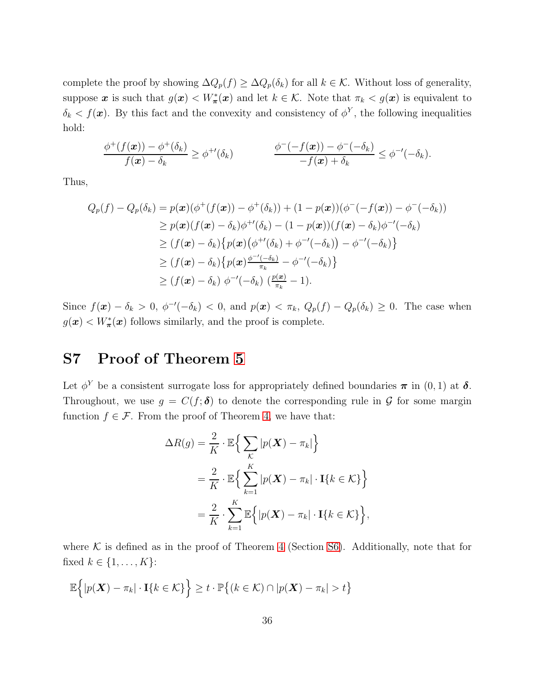complete the proof by showing  $\Delta Q_p(f) \geq \Delta Q_p(\delta_k)$  for all  $k \in \mathcal{K}$ . Without loss of generality, suppose x is such that  $g(x) < W^*_{\pi}(x)$  and let  $k \in \mathcal{K}$ . Note that  $\pi_k < g(x)$  is equivalent to  $\delta_k < f(\boldsymbol{x})$ . By this fact and the convexity and consistency of  $\phi^Y$ , the following inequalities hold:

$$
\frac{\phi^+(f(\mathbf{x})) - \phi^+(\delta_k)}{f(\mathbf{x}) - \delta_k} \geq \phi^{+\prime}(\delta_k) \qquad \frac{\phi^-(-f(\mathbf{x})) - \phi^-(-\delta_k)}{-f(\mathbf{x}) + \delta_k} \leq \phi^{-\prime}(-\delta_k).
$$

Thus,

$$
Q_p(f) - Q_p(\delta_k) = p(\boldsymbol{x}) (\phi^+(f(\boldsymbol{x})) - \phi^+(\delta_k)) + (1 - p(\boldsymbol{x})) (\phi^-(f(\boldsymbol{x})) - \phi^-(f(\delta_k)))
$$
  
\n
$$
\geq p(\boldsymbol{x}) (f(\boldsymbol{x}) - \delta_k) \phi^{+'}(\delta_k) - (1 - p(\boldsymbol{x})) (f(\boldsymbol{x}) - \delta_k) \phi^{-'}(-\delta_k)
$$
  
\n
$$
\geq (f(\boldsymbol{x}) - \delta_k) \{p(\boldsymbol{x}) (\phi^{+'}(\delta_k) + \phi^{-'}(-\delta_k)) - \phi^{-'}(-\delta_k)\}
$$
  
\n
$$
\geq (f(\boldsymbol{x}) - \delta_k) \{p(\boldsymbol{x}) \frac{\phi^{-'}(-\delta_k)}{\pi_k} - \phi^{-'}(-\delta_k)\}
$$
  
\n
$$
\geq (f(\boldsymbol{x}) - \delta_k) \phi^{-'}(-\delta_k) \left(\frac{p(\boldsymbol{x})}{\pi_k} - 1\right).
$$

Since  $f(\mathbf{x}) - \delta_k > 0$ ,  $\phi^{-1}(-\delta_k) < 0$ , and  $p(\mathbf{x}) < \pi_k$ ,  $Q_p(f) - Q_p(\delta_k) \geq 0$ . The case when  $g(\mathbf{x}) < W^*_{\pi}(\mathbf{x})$  follows similarly, and the proof is complete.

## <span id="page-36-0"></span>S7 Proof of Theorem [5](#page-18-1)

Let  $\phi^Y$  be a consistent surrogate loss for appropriately defined boundaries  $\pi$  in  $(0, 1)$  at  $\delta$ . Throughout, we use  $g = C(f; \delta)$  to denote the corresponding rule in G for some margin function  $f \in \mathcal{F}$ . From the proof of Theorem [4,](#page-17-2) we have that:

$$
\Delta R(g) = \frac{2}{K} \cdot \mathbb{E} \Big\{ \sum_{\mathcal{K}} |p(\mathbf{X}) - \pi_k| \Big\}
$$
  
=  $\frac{2}{K} \cdot \mathbb{E} \Big\{ \sum_{k=1}^{K} |p(\mathbf{X}) - \pi_k| \cdot \mathbf{I} \{ k \in \mathcal{K} \} \Big\}$   
=  $\frac{2}{K} \cdot \sum_{k=1}^{K} \mathbb{E} \Big\{ |p(\mathbf{X}) - \pi_k| \cdot \mathbf{I} \{ k \in \mathcal{K} \} \Big\},$ 

where  $K$  is defined as in the proof of Theorem [4](#page-17-2) (Section [S6\)](#page-34-0). Additionally, note that for fixed  $k \in \{1, \ldots, K\}$ :

$$
\mathbb{E}\Big\{|p(\boldsymbol{X})-\pi_k|\cdot\mathbf{I}\{k\in\mathcal{K}\}\Big\}\geq t\cdot\mathbb{P}\big\{(k\in\mathcal{K})\cap|p(\boldsymbol{X})-\pi_k|>t\big\}
$$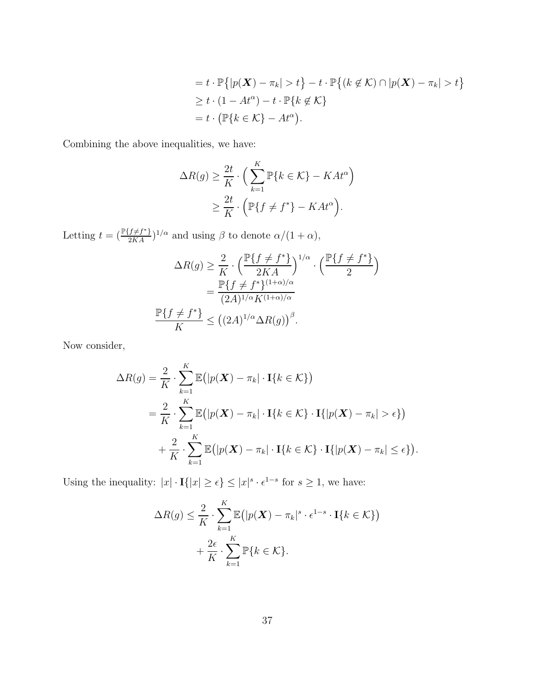$$
= t \cdot \mathbb{P}\{|p(\mathbf{X}) - \pi_k| > t\} - t \cdot \mathbb{P}\{(k \notin \mathcal{K}) \cap |p(\mathbf{X}) - \pi_k| > t\}
$$
  
\n
$$
\geq t \cdot (1 - At^{\alpha}) - t \cdot \mathbb{P}\{k \notin \mathcal{K}\}
$$
  
\n
$$
= t \cdot (\mathbb{P}\{k \in \mathcal{K}\} - At^{\alpha}).
$$

Combining the above inequalities, we have:

$$
\Delta R(g) \ge \frac{2t}{K} \cdot \left( \sum_{k=1}^{K} \mathbb{P}\{k \in \mathcal{K}\} - KAt^{\alpha} \right)
$$
  

$$
\ge \frac{2t}{K} \cdot \left( \mathbb{P}\{f \ne f^*\} - KAt^{\alpha} \right).
$$

Letting  $t = \left(\frac{\mathbb{P}\{f \neq f^*\}}{2KA}\right)^{1/\alpha}$  and using  $\beta$  to denote  $\alpha/(1+\alpha)$ ,

$$
\Delta R(g) \ge \frac{2}{K} \cdot \left(\frac{\mathbb{P}\{f \ne f^*\}}{2KA}\right)^{1/\alpha} \cdot \left(\frac{\mathbb{P}\{f \ne f^*\}}{2}\right)
$$

$$
= \frac{\mathbb{P}\{f \ne f^*\}^{(1+\alpha)/\alpha}}{(2A)^{1/\alpha}K^{(1+\alpha)/\alpha}}
$$

$$
\frac{\mathbb{P}\{f \ne f^*\}}{K} \le ((2A)^{1/\alpha} \Delta R(g))^{\beta}.
$$

Now consider,

$$
\Delta R(g) = \frac{2}{K} \cdot \sum_{k=1}^{K} \mathbb{E} \big( |p(\boldsymbol{X}) - \pi_k| \cdot \mathbf{I} \{ k \in \mathcal{K} \} \big)
$$
  
=  $\frac{2}{K} \cdot \sum_{k=1}^{K} \mathbb{E} \big( |p(\boldsymbol{X}) - \pi_k| \cdot \mathbf{I} \{ k \in \mathcal{K} \} \cdot \mathbf{I} \{ |p(\boldsymbol{X}) - \pi_k| > \epsilon \} \big)$   
+  $\frac{2}{K} \cdot \sum_{k=1}^{K} \mathbb{E} \big( |p(\boldsymbol{X}) - \pi_k| \cdot \mathbf{I} \{ k \in \mathcal{K} \} \cdot \mathbf{I} \{ |p(\boldsymbol{X}) - \pi_k| \le \epsilon \} \big).$ 

Using the inequality:  $|x| \cdot \mathbf{I}(|x| \geq \epsilon) \leq |x|^{s} \cdot \epsilon^{1-s}$  for  $s \geq 1$ , we have:

$$
\Delta R(g) \leq \frac{2}{K} \cdot \sum_{k=1}^{K} \mathbb{E} \left( |p(\boldsymbol{X}) - \pi_k|^s \cdot \epsilon^{1-s} \cdot \mathbf{I} \{ k \in \mathcal{K} \} \right) + \frac{2\epsilon}{K} \cdot \sum_{k=1}^{K} \mathbb{P} \{ k \in \mathcal{K} \}.
$$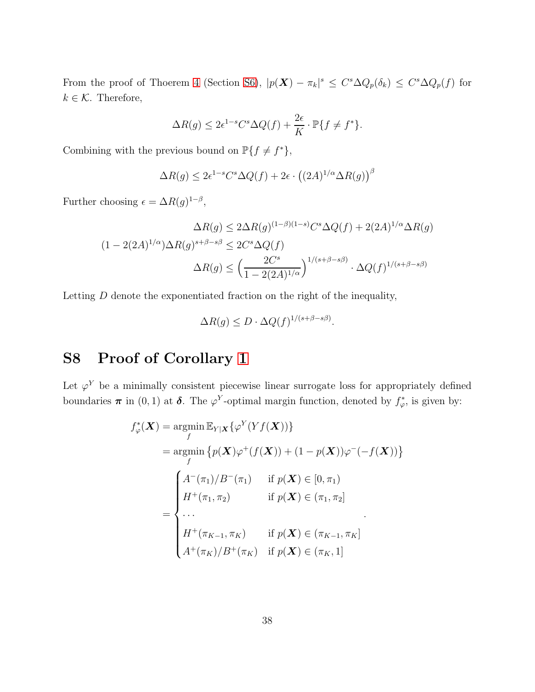From the proof of Thoerem [4](#page-17-2) (Section [S6\)](#page-34-0),  $|p(\mathbf{X}) - \pi_k|^s \leq C^s \Delta Q_p(\delta_k) \leq C^s \Delta Q_p(f)$  for  $k \in \mathcal{K}$ . Therefore,

$$
\Delta R(g) \le 2\epsilon^{1-s} C^s \Delta Q(f) + \frac{2\epsilon}{K} \cdot \mathbb{P}\{f \ne f^*\}.
$$

Combining with the previous bound on  $\mathbb{P}\lbrace f \neq f^* \rbrace$ ,

$$
\Delta R(g) \le 2\epsilon^{1-s} C^s \Delta Q(f) + 2\epsilon \cdot ((2A)^{1/\alpha} \Delta R(g))^{\beta}
$$

Further choosing  $\epsilon = \Delta R(g)^{1-\beta}$ ,

$$
\Delta R(g) \le 2\Delta R(g)^{(1-\beta)(1-s)}C^s\Delta Q(f) + 2(2A)^{1/\alpha}\Delta R(g)
$$

$$
(1 - 2(2A)^{1/\alpha})\Delta R(g)^{s+\beta-s\beta} \le 2C^s\Delta Q(f)
$$

$$
\Delta R(g) \le \left(\frac{2C^s}{1 - 2(2A)^{1/\alpha}}\right)^{1/(s+\beta-s\beta)} \cdot \Delta Q(f)^{1/(s+\beta-s\beta)}
$$

Letting D denote the exponentiated fraction on the right of the inequality,

$$
\Delta R(g) \le D \cdot \Delta Q(f)^{1/(s+\beta-s\beta)}.
$$

# <span id="page-38-0"></span>S8 Proof of Corollary [1](#page-18-2)

Let  $\varphi^{Y}$  be a minimally consistent piecewise linear surrogate loss for appropriately defined boundaries  $\pi$  in (0, 1) at  $\delta$ . The  $\varphi^Y$ -optimal margin function, denoted by  $f^*_\varphi$ , is given by:

$$
f_{\varphi}^{*}(\boldsymbol{X}) = \underset{f}{\operatorname{argmin}} \mathbb{E}_{Y|\boldsymbol{X}} \{ \varphi^{Y}(Yf(\boldsymbol{X})) \}
$$
  
\n
$$
= \underset{f}{\operatorname{argmin}} \{ p(\boldsymbol{X})\varphi^{+}(f(\boldsymbol{X})) + (1 - p(\boldsymbol{X}))\varphi^{-}(-f(\boldsymbol{X})) \}
$$
  
\n
$$
= \begin{cases} A^{-}(\pi_{1})/B^{-}(\pi_{1}) & \text{if } p(\boldsymbol{X}) \in [0, \pi_{1}) \\ H^{+}(\pi_{1}, \pi_{2}) & \text{if } p(\boldsymbol{X}) \in (\pi_{1}, \pi_{2}] \\ \dots \\ H^{+}(\pi_{K-1}, \pi_{K}) & \text{if } p(\boldsymbol{X}) \in (\pi_{K-1}, \pi_{K}] \\ A^{+}(\pi_{K})/B^{+}(\pi_{K}) & \text{if } p(\boldsymbol{X}) \in (\pi_{K}, 1] \end{cases}
$$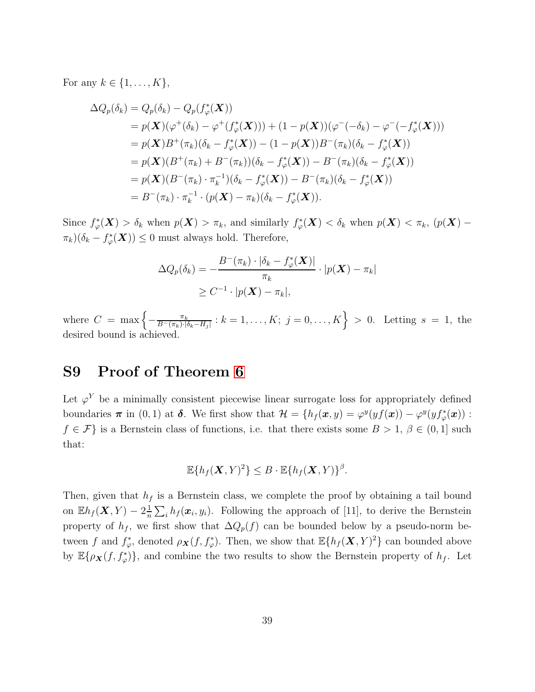For any  $k \in \{1, \ldots, K\},\$ 

$$
\Delta Q_p(\delta_k) = Q_p(\delta_k) - Q_p(f_{\varphi}^*(\mathbf{X}))
$$
  
=  $p(\mathbf{X})(\varphi^+(\delta_k) - \varphi^+(f_{\varphi}^*(\mathbf{X}))) + (1 - p(\mathbf{X}))(\varphi^-(\delta_k) - \varphi^-(-f_{\varphi}^*(\mathbf{X})))$   
=  $p(\mathbf{X})B^+(\pi_k)(\delta_k - f_{\varphi}^*(\mathbf{X})) - (1 - p(\mathbf{X}))B^-(\pi_k)(\delta_k - f_{\varphi}^*(\mathbf{X}))$   
=  $p(\mathbf{X})(B^+(\pi_k) + B^-(\pi_k))(\delta_k - f_{\varphi}^*(\mathbf{X})) - B^-(\pi_k)(\delta_k - f_{\varphi}^*(\mathbf{X}))$   
=  $p(\mathbf{X})(B^-(\pi_k) \cdot \pi_k^{-1})(\delta_k - f_{\varphi}^*(\mathbf{X})) - B^-(\pi_k)(\delta_k - f_{\varphi}^*(\mathbf{X}))$   
=  $B^-(\pi_k) \cdot \pi_k^{-1} \cdot (p(\mathbf{X}) - \pi_k)(\delta_k - f_{\varphi}^*(\mathbf{X})).$ 

Since  $f^*_{\varphi}(\boldsymbol{X}) > \delta_k$  when  $p(\boldsymbol{X}) > \pi_k$ , and similarly  $f^*_{\varphi}(\boldsymbol{X}) < \delta_k$  when  $p(\boldsymbol{X}) < \pi_k$ ,  $(p(\boldsymbol{X}) - \epsilon_k)$  $\pi_k(\delta_k - f^*_{\varphi}(\boldsymbol{X})) \leq 0$  must always hold. Therefore,

$$
\Delta Q_p(\delta_k) = -\frac{B^-(\pi_k) \cdot |\delta_k - f^*_\varphi(\boldsymbol{X})|}{\pi_k} \cdot |p(\boldsymbol{X}) - \pi_k|
$$
  
\n
$$
\geq C^{-1} \cdot |p(\boldsymbol{X}) - \pi_k|,
$$

where  $C = \max \left\{ -\frac{\pi_k}{B^-(\pi_k) \cdot |\delta_k - H_j|} : k = 1, \ldots, K; j = 0, \ldots, K \right\} > 0.$  Letting  $s = 1$ , the desired bound is achieved.

## S9 Proof of Theorem [6](#page-20-0)

Let  $\varphi^{Y}$  be a minimally consistent piecewise linear surrogate loss for appropriately defined boundaries  $\pi$  in (0, 1) at  $\delta$ . We first show that  $\mathcal{H} = \{h_f(\bm{x}, y) = \varphi^y(yf(\bm{x})) - \varphi^y(yf^*_\varphi(\bm{x})):$  $f \in \mathcal{F}$  is a Bernstein class of functions, i.e. that there exists some  $B > 1, \beta \in (0, 1]$  such that:

$$
\mathbb{E}\{h_f(\boldsymbol{X},Y)^2\} \leq B \cdot \mathbb{E}\{h_f(\boldsymbol{X},Y)\}^{\beta}.
$$

Then, given that  $h_f$  is a Bernstein class, we complete the proof by obtaining a tail bound on  $\mathbb{E}h_f(\boldsymbol{X}, Y) - 2\frac{1}{n}$  $\frac{1}{n} \sum_i h_f(\boldsymbol{x}_i, y_i)$ . Following the approach of [11], to derive the Bernstein property of  $h_f$ , we first show that  $\Delta Q_p(f)$  can be bounded below by a pseudo-norm between f and  $f^*_{\varphi}$ , denoted  $\rho_{\mathbf{X}}(f, f^*_{\varphi})$ . Then, we show that  $\mathbb{E}\{h_f(\mathbf{X}, Y)^2\}$  can bounded above by  $\mathbb{E}\{\rho_{\mathbf{X}}(f, f_{\varphi}^{*})\}$ , and combine the two results to show the Bernstein property of  $h_{f}$ . Let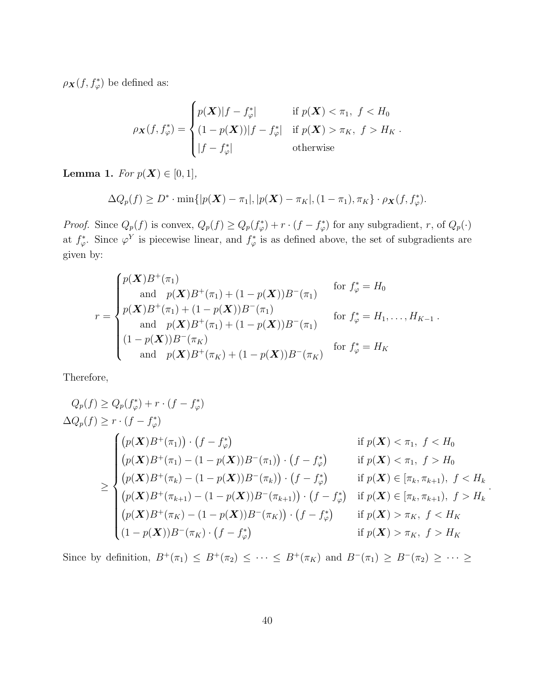$\rho_{\mathbf{X}}(f, f_{\varphi}^*)$  be defined as:

$$
\rho_{\mathbf{X}}(f, f_{\varphi}^*) = \begin{cases} p(\mathbf{X})|f - f_{\varphi}^*| & \text{if } p(\mathbf{X}) < \pi_1, \ f < H_0 \\ (1 - p(\mathbf{X}))|f - f_{\varphi}^*| & \text{if } p(\mathbf{X}) > \pi_K, \ f > H_K \\ |f - f_{\varphi}^*| & \text{otherwise} \end{cases}
$$

**Lemma 1.** *For*  $p(X) \in [0, 1]$ *,* 

$$
\Delta Q_p(f) \ge D^* \cdot \min\{|p(\boldsymbol{X}) - \pi_1|, |p(\boldsymbol{X}) - \pi_K|, (1 - \pi_1), \pi_K\} \cdot \rho_{\boldsymbol{X}}(f, f^*_\varphi).
$$

*Proof.* Since  $Q_p(f)$  is convex,  $Q_p(f) \geq Q_p(f^*_\varphi) + r \cdot (f - f^*_\varphi)$  for any subgradient, r, of  $Q_p(\cdot)$ at  $f^*_\varphi$ . Since  $\varphi^Y$  is piecewise linear, and  $f^*_\varphi$  is as defined above, the set of subgradients are given by:

$$
r = \begin{cases} p(\mathbf{X})B^{+}(\pi_{1}) & \text{for } f_{\varphi}^{*} = H_{0} \\ \text{and } p(\mathbf{X})B^{+}(\pi_{1}) + (1 - p(\mathbf{X}))B^{-}(\pi_{1}) & \text{for } f_{\varphi}^{*} = H_{0} \\ p(\mathbf{X})B^{+}(\pi_{1}) + (1 - p(\mathbf{X}))B^{-}(\pi_{1}) & \text{for } f_{\varphi}^{*} = H_{1}, \dots, H_{K-1} \\ \text{and } p(\mathbf{X})B^{+}(\pi_{K}) & \text{for } f_{\varphi}^{*} = H_{K} \\ \text{and } p(\mathbf{X})B^{+}(\pi_{K}) + (1 - p(\mathbf{X}))B^{-}(\pi_{K}) & \text{for } f_{\varphi}^{*} = H_{K} \end{cases}
$$

Therefore,

$$
Q_p(f) \ge Q_p(f_{\varphi}^*) + r \cdot (f - f_{\varphi}^*)
$$
  
\n
$$
\Delta Q_p(f) \ge r \cdot (f - f_{\varphi}^*)
$$
  
\n
$$
\le \begin{cases} (p(X)B^+(\pi_1)) \cdot (f - f_{\varphi}^*) & \text{if } p(X) < \pi_1, \ f < H_0 \\ (p(X)B^+(\pi_1) - (1 - p(X))B^-(\pi_1)) \cdot (f - f_{\varphi}^*) & \text{if } p(X) < \pi_1, \ f > H_0 \\ (p(X)B^+(\pi_k) - (1 - p(X))B^-(\pi_k)) \cdot (f - f_{\varphi}^*) & \text{if } p(X) \in [\pi_k, \pi_{k+1}), \ f < H_k \\ (p(X)B^+(\pi_{k+1}) - (1 - p(X))B^-(\pi_{k+1})) \cdot (f - f_{\varphi}^*) & \text{if } p(X) \in [\pi_k, \pi_{k+1}), \ f > H_k \\ (p(X)B^+(\pi_K) - (1 - p(X))B^-(\pi_K)) \cdot (f - f_{\varphi}^*) & \text{if } p(X) > \pi_K, \ f < H_K \\ (1 - p(X))B^-(\pi_K) \cdot (f - f_{\varphi}^*) & \text{if } p(X) > \pi_K, \ f > H_K \end{cases}
$$

Since by definition,  $B^+(\pi_1) \leq B^+(\pi_2) \leq \cdots \leq B^+(\pi_K)$  and  $B^-(\pi_1) \geq B^-(\pi_2) \geq \cdots \geq$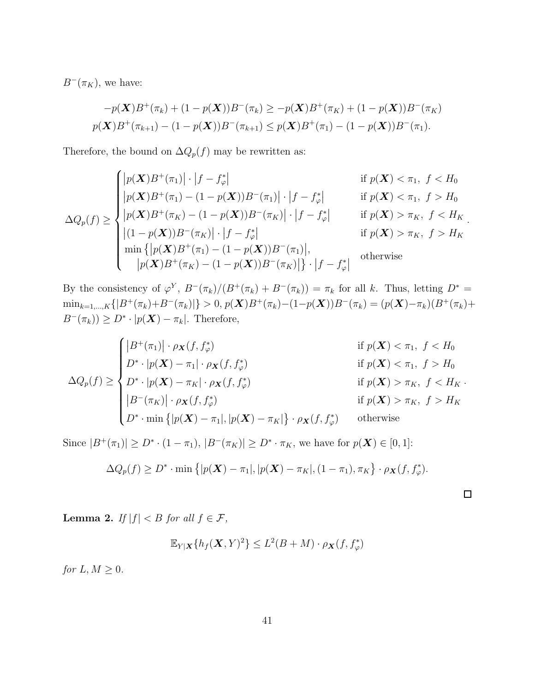$B^{-}(\pi_K)$ , we have:

$$
-p(\mathbf{X})B^{+}(\pi_{k}) + (1 - p(\mathbf{X}))B^{-}(\pi_{k}) \geq -p(\mathbf{X})B^{+}(\pi_{K}) + (1 - p(\mathbf{X}))B^{-}(\pi_{K})
$$
  

$$
p(\mathbf{X})B^{+}(\pi_{k+1}) - (1 - p(\mathbf{X}))B^{-}(\pi_{k+1}) \leq p(\mathbf{X})B^{+}(\pi_{1}) - (1 - p(\mathbf{X}))B^{-}(\pi_{1}).
$$

Therefore, the bound on  $\Delta Q_p(f)$  may be rewritten as:

$$
\Delta Q_p(f) \ge \begin{cases} |p(\mathbf{X})B^+(\pi_1)| \cdot |f - f^*_{\varphi}| & \text{if } p(\mathbf{X}) < \pi_1, \ f < H_0 \\ |p(\mathbf{X})B^+(\pi_1) - (1 - p(\mathbf{X}))B^-(\pi_1)| \cdot |f - f^*_{\varphi}| & \text{if } p(\mathbf{X}) < \pi_1, \ f > H_0 \\ |p(\mathbf{X})B^+(\pi_K) - (1 - p(\mathbf{X}))B^-(\pi_K)| \cdot |f - f^*_{\varphi}| & \text{if } p(\mathbf{X}) > \pi_K, \ f < H_K \\ |(1 - p(\mathbf{X}))B^-(\pi_K)| \cdot |f - f^*_{\varphi}| & \text{if } p(\mathbf{X}) > \pi_K, \ f > H_K \\ \min \{ |p(\mathbf{X})B^+(\pi_1) - (1 - p(\mathbf{X}))B^-(\pi_1)|, \\ |p(\mathbf{X})B^+(\pi_K) - (1 - p(\mathbf{X}))B^-(\pi_K)| \} \cdot |f - f^*_{\varphi}| & \text{otherwise} \end{cases}
$$

By the consistency of  $\varphi^Y$ ,  $B^-(\pi_k)/(B^+(\pi_k) + B^-(\pi_k)) = \pi_k$  for all k. Thus, letting  $D^* =$  $\min_{k=1,\ldots,K}\{|B^+(\pi_k)+B^-(\pi_k)|\} > 0,$   $p(\mathbf{X})B^+(\pi_k)-(1-p(\mathbf{X}))B^-(\pi_k)=(p(\mathbf{X})-\pi_k)(B^+(\pi_k)+p(\mathbf{X}))$  $B^{-}(\pi_k)$ ) ≥  $D^* \cdot |p(\boldsymbol{X}) - \pi_k|$ . Therefore,

$$
\Delta Q_p(f) \geq \begin{cases}\n|B^+(\pi_1)| \cdot \rho_{\mathbf{X}}(f, f^*_\varphi) & \text{if } p(\mathbf{X}) < \pi_1, \ f < H_0 \\
D^* \cdot |p(\mathbf{X}) - \pi_1| \cdot \rho_{\mathbf{X}}(f, f^*_\varphi) & \text{if } p(\mathbf{X}) < \pi_1, \ f > H_0 \\
D^* \cdot |p(\mathbf{X}) - \pi_K| \cdot \rho_{\mathbf{X}}(f, f^*_\varphi) & \text{if } p(\mathbf{X}) > \pi_K, \ f < H_K \\
|B^-(\pi_K)| \cdot \rho_{\mathbf{X}}(f, f^*_\varphi) & \text{if } p(\mathbf{X}) > \pi_K, \ f > H_K \\
D^* \cdot \min\{|p(\mathbf{X}) - \pi_1|, |p(\mathbf{X}) - \pi_K|\} \cdot \rho_{\mathbf{X}}(f, f^*_\varphi) & \text{otherwise}\n\end{cases}
$$

Since  $|B^+(\pi_1)| \ge D^* \cdot (1 - \pi_1)$ ,  $|B^-(\pi_K)| \ge D^* \cdot \pi_K$ , we have for  $p(\mathbf{X}) \in [0, 1]$ :

$$
\Delta Q_p(f) \ge D^* \cdot \min\left\{|p(\boldsymbol{X}) - \pi_1|, |p(\boldsymbol{X}) - \pi_K|, (1 - \pi_1), \pi_K\right\} \cdot \rho_{\boldsymbol{X}}(f, f^*_\varphi).
$$

.

<span id="page-41-0"></span>Lemma 2. *If*  $|f| < B$  *for all*  $f \in \mathcal{F}$ *,* 

$$
\mathbb{E}_{Y|\mathbf{X}}\{h_f(\mathbf{X},Y)^2\} \le L^2(B+M) \cdot \rho_{\mathbf{X}}(f,f^*)
$$

*for*  $L, M \geq 0$ *.*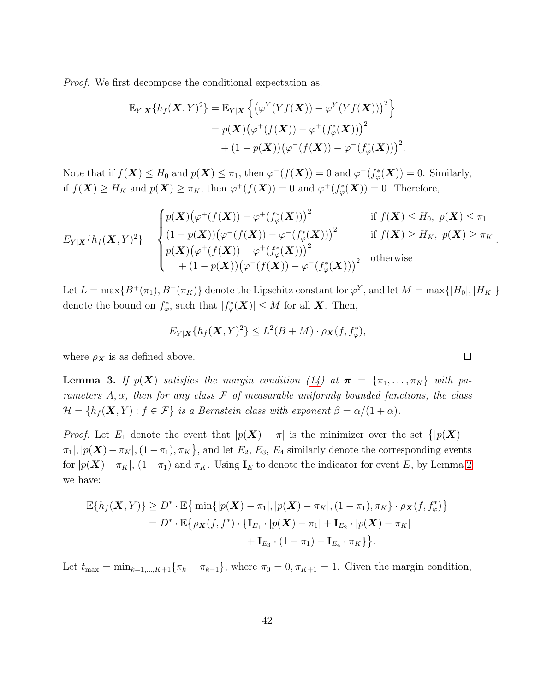*Proof.* We first decompose the conditional expectation as:

$$
\mathbb{E}_{Y|\mathbf{X}}\{h_f(\mathbf{X}, Y)^2\} = \mathbb{E}_{Y|\mathbf{X}}\left\{ \left( \varphi^Y(Yf(\mathbf{X})) - \varphi^Y(Yf(\mathbf{X})) \right)^2 \right\}
$$
  
=  $p(\mathbf{X})\left( \varphi^+(f(\mathbf{X})) - \varphi^+(f^*_{\varphi}(\mathbf{X})) \right)^2$   
+  $(1 - p(\mathbf{X}))\left( \varphi^-(f(\mathbf{X})) - \varphi^-(f^*_{\varphi}(\mathbf{X})) \right)^2$ .

Note that if  $f(\mathbf{X}) \leq H_0$  and  $p(\mathbf{X}) \leq \pi_1$ , then  $\varphi^{-}(f(\mathbf{X})) = 0$  and  $\varphi^{-}(f_{\varphi}^{*}(\mathbf{X})) = 0$ . Similarly, if  $f(\mathbf{X}) \geq H_K$  and  $p(\mathbf{X}) \geq \pi_K$ , then  $\varphi^+(f(\mathbf{X})) = 0$  and  $\varphi^+(f^*_\varphi(\mathbf{X})) = 0$ . Therefore,

$$
E_{Y|X}\lbrace h_f(\boldsymbol{X}, Y)^2\rbrace = \begin{cases} p(\boldsymbol{X})\big(\varphi^+(f(\boldsymbol{X})) - \varphi^+(f^*_{\varphi}(\boldsymbol{X}))\big)^2 & \text{if } f(\boldsymbol{X}) \leq H_0, \ p(\boldsymbol{X}) \leq \pi_1 \\ (1 - p(\boldsymbol{X}))\big(\varphi^-(f(\boldsymbol{X})) - \varphi^-(f^*_{\varphi}(\boldsymbol{X}))\big)^2 & \text{if } f(\boldsymbol{X}) \geq H_K, \ p(\boldsymbol{X}) \geq \pi_K \\ p(\boldsymbol{X})\big(\varphi^+(f(\boldsymbol{X})) - \varphi^+(f^*_{\varphi}(\boldsymbol{X}))\big)^2 & \text{otherwise} \\ + (1 - p(\boldsymbol{X}))\big(\varphi^-(f(\boldsymbol{X})) - \varphi^-(f^*_{\varphi}(\boldsymbol{X}))\big)^2 & \text{otherwise} \end{cases}
$$

Let  $L = \max\{B^+(\pi_1), B^-(\pi_K)\}\$ denote the Lipschitz constant for  $\varphi^Y$ , and let  $M = \max\{|H_0|, |H_K|\}\$ denote the bound on  $f^*_{\varphi}$ , such that  $|f^*_{\varphi}(\boldsymbol{X})| \leq M$  for all **X**. Then,

$$
E_{Y|X}\{h_f(\mathbf{X},Y)^2\} \le L^2(B+M) \cdot \rho_{\mathbf{X}}(f, f_{\varphi}^*),
$$

where  $\rho_{\boldsymbol{X}}$  is as defined above.

**Lemma 3.** If  $p(X)$  satisfies the margin condition [\(14\)](#page-17-1) at  $\boldsymbol{\pi} = {\pi_1, \dots, \pi_K}$  with pa*rameters*  $A, \alpha$ *, then for any class*  $\mathcal F$  *of measurable uniformly bounded functions, the class*  $\mathcal{H} = \{h_f(\mathbf{X}, Y) : f \in \mathcal{F}\}\$ is a Bernstein class with exponent  $\beta = \alpha/(1 + \alpha)$ .

*Proof.* Let  $E_1$  denote the event that  $|p(X) - \pi|$  is the minimizer over the set  $\{|p(X) - \pi||$  $\pi_1$ ,  $|p(\boldsymbol{X}) - \pi_K|$ ,  $(1 - \pi_1)$ ,  $\pi_K$ , and let  $E_2$ ,  $E_3$ ,  $E_4$  similarly denote the corresponding events for  $|p(X)-\pi_K|$ ,  $(1-\pi_1)$  and  $\pi_K$ . Using  $\mathbf{I}_E$  to denote the indicator for event E, by Lemma [2](#page-41-0) we have:

$$
\mathbb{E}\{h_f(\boldsymbol{X},Y)\} \ge D^* \cdot \mathbb{E}\big\{\min\{|p(\boldsymbol{X}) - \pi_1|, |p(\boldsymbol{X}) - \pi_K|, (1 - \pi_1), \pi_K\} \cdot \rho_{\boldsymbol{X}}(f, f^*_{\varphi})\big\}
$$
  
=  $D^* \cdot \mathbb{E}\big\{\rho_{\boldsymbol{X}}(f, f^*) \cdot \{\mathbf{I}_{E_1} \cdot |p(\boldsymbol{X}) - \pi_1| + \mathbf{I}_{E_2} \cdot |p(\boldsymbol{X}) - \pi_K|\ + \mathbf{I}_{E_3} \cdot (1 - \pi_1) + \mathbf{I}_{E_4} \cdot \pi_K\big\}\big\}.$ 

Let  $t_{\max} = \min_{k=1,\dots,K+1} {\{\pi_k - \pi_{k-1}\}}$ , where  $\pi_0 = 0, \pi_{K+1} = 1$ . Given the margin condition,

.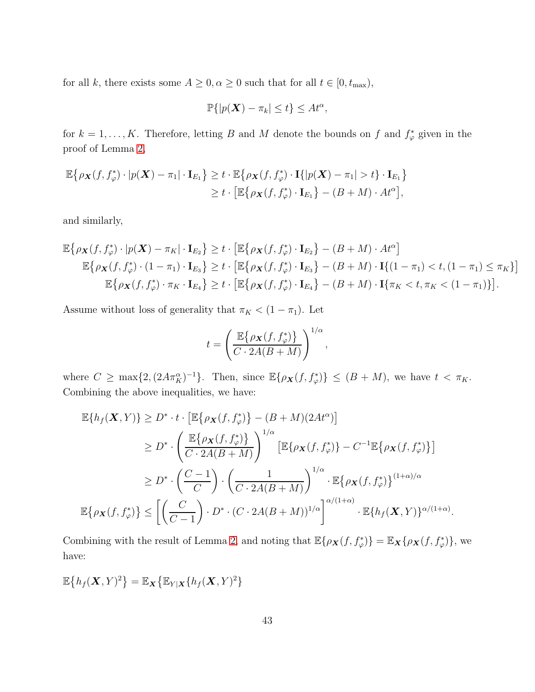for all k, there exists some  $A \geq 0, \alpha \geq 0$  such that for all  $t \in [0, t_{\max})$ ,

$$
\mathbb{P}\{|p(\boldsymbol{X}) - \pi_k| \le t\} \le At^\alpha,
$$

for  $k = 1, ..., K$ . Therefore, letting B and M denote the bounds on f and  $f^*_{\varphi}$  given in the proof of Lemma [2,](#page-41-0)

$$
\mathbb{E}\{\rho_{\mathbf{X}}(f, f_{\varphi}^*)\cdot |p(\mathbf{X}) - \pi_1|\cdot \mathbf{I}_{E_1}\} \geq t \cdot \mathbb{E}\{\rho_{\mathbf{X}}(f, f_{\varphi}^*)\cdot \mathbf{I}\{|p(\mathbf{X}) - \pi_1| > t\} \cdot \mathbf{I}_{E_1}\}\n\n\geq t \cdot \left[\mathbb{E}\{\rho_{\mathbf{X}}(f, f_{\varphi}^*)\cdot \mathbf{I}_{E_1}\} - (B + M) \cdot A t^{\alpha}\right],
$$

and similarly,

$$
\mathbb{E}\left\{\rho_{\mathbf{X}}(f, f_{\varphi}^*)\cdot |p(\mathbf{X}) - \pi_K| \cdot \mathbf{I}_{E_2}\right\} \ge t \cdot \left[\mathbb{E}\left\{\rho_{\mathbf{X}}(f, f_{\varphi}^*)\cdot \mathbf{I}_{E_2}\right\} - (B + M) \cdot At^{\alpha}\right] \n\mathbb{E}\left\{\rho_{\mathbf{X}}(f, f_{\varphi}^*)\cdot (1 - \pi_1) \cdot \mathbf{I}_{E_3}\right\} \ge t \cdot \left[\mathbb{E}\left\{\rho_{\mathbf{X}}(f, f_{\varphi}^*)\cdot \mathbf{I}_{E_3}\right\} - (B + M) \cdot \mathbf{I}\{(1 - \pi_1) < t, (1 - \pi_1) \le \pi_K\}\right] \n\mathbb{E}\left\{\rho_{\mathbf{X}}(f, f_{\varphi}^*)\cdot \pi_K \cdot \mathbf{I}_{E_4}\right\} \ge t \cdot \left[\mathbb{E}\left\{\rho_{\mathbf{X}}(f, f_{\varphi}^*)\cdot \mathbf{I}_{E_4}\right\} - (B + M) \cdot \mathbf{I}\{\pi_K < t, \pi_K < (1 - \pi_1)\}\right].
$$

Assume without loss of generality that  $\pi_K < (1 - \pi_1)$ . Let

$$
t = \left(\frac{\mathbb{E}\{\rho_{\mathbf{X}}(f, f_{\varphi}^*)\}}{C \cdot 2A(B + M)}\right)^{1/\alpha},\,
$$

where  $C \ge \max\{2, (2A\pi_K^{\alpha})^{-1}\}.$  Then, since  $\mathbb{E}\{\rho_{\mathbf{X}}(f, f_{\varphi}^*)\} \le (B + M)$ , we have  $t < \pi_K$ . Combining the above inequalities, we have:

 $\overline{a}$ 

$$
\mathbb{E}\{h_f(\mathbf{X}, Y)\} \ge D^* \cdot t \cdot \left[\mathbb{E}\{\rho_{\mathbf{X}}(f, f_{\varphi}^*)\} - (B + M)(2At^{\alpha})\right]
$$
  
\n
$$
\ge D^* \cdot \left(\frac{\mathbb{E}\{\rho_{\mathbf{X}}(f, f_{\varphi}^*)\}}{C \cdot 2A(B + M)}\right)^{1/\alpha} \left[\mathbb{E}\{\rho_{\mathbf{X}}(f, f_{\varphi}^*)\} - C^{-1}\mathbb{E}\{\rho_{\mathbf{X}}(f, f_{\varphi}^*)\}\right]
$$
  
\n
$$
\ge D^* \cdot \left(\frac{C - 1}{C}\right) \cdot \left(\frac{1}{C \cdot 2A(B + M)}\right)^{1/\alpha} \cdot \mathbb{E}\{\rho_{\mathbf{X}}(f, f_{\varphi}^*)\}^{(1 + \alpha)/\alpha}
$$
  
\n
$$
\mathbb{E}\{\rho_{\mathbf{X}}(f, f_{\varphi}^*)\} \le \left[\left(\frac{C}{C - 1}\right) \cdot D^* \cdot (C \cdot 2A(B + M))^{1/\alpha}\right]^{\alpha/(1 + \alpha)} \cdot \mathbb{E}\{h_f(\mathbf{X}, Y)\}^{\alpha/(1 + \alpha)}.
$$

Combining with the result of Lemma [2,](#page-41-0) and noting that  $\mathbb{E}\{\rho_{\mathbf{X}}(f, f_{\varphi}^*)\} = \mathbb{E}_{\mathbf{X}}\{\rho_{\mathbf{X}}(f, f_{\varphi}^*)\}$ , we have:

$$
\mathbb{E}\big\{h_f(\boldsymbol{X},Y)^2\big\}=\mathbb{E}_{\boldsymbol{X}}\big\{\mathbb{E}_{Y|\boldsymbol{X}}\{h_f(\boldsymbol{X},Y)^2\}
$$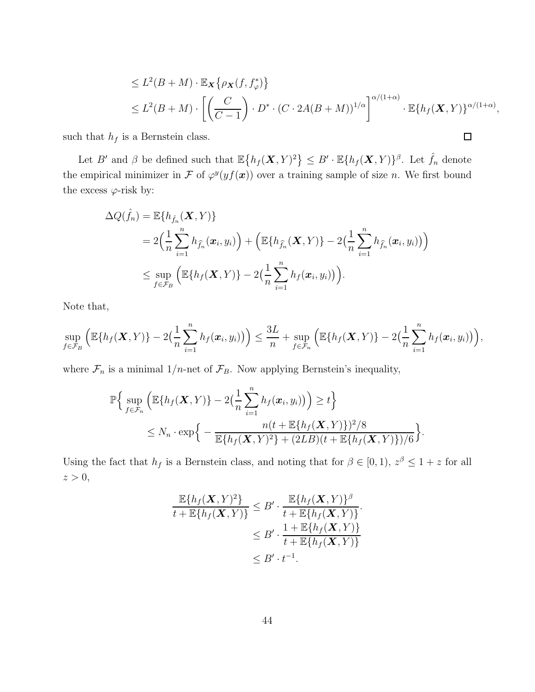$$
\leq L^2(B+M) \cdot \mathbb{E}_{\mathbf{X}}\{\rho_{\mathbf{X}}(f, f_{\varphi}^*)\}
$$
  
\n
$$
\leq L^2(B+M) \cdot \left[ \left( \frac{C}{C-1} \right) \cdot D^* \cdot (C \cdot 2A(B+M))^{1/\alpha} \right]^{\alpha/(1+\alpha)} \cdot \mathbb{E}\{h_f(\mathbf{X}, Y)\}^{\alpha/(1+\alpha)},
$$

 $\Box$ 

such that  $h_f$  is a Bernstein class.

Let B' and  $\beta$  be defined such that  $\mathbb{E}\left\{h_f(\mathbf{X},Y)^2\right\} \leq B' \cdot \mathbb{E}\{h_f(\mathbf{X},Y)\}^{\beta}$ . Let  $\hat{f}_n$  denote the empirical minimizer in F of  $\varphi^y(yf(x))$  over a training sample of size n. We first bound the excess  $\varphi$ -risk by:

$$
\Delta Q(\hat{f}_n) = \mathbb{E}\{h_{\hat{f}_n}(\boldsymbol{X}, Y)\}
$$
  
=  $2\Big(\frac{1}{n}\sum_{i=1}^n h_{\hat{f}_n}(\boldsymbol{x}_i, y_i)\Big) + \Big(\mathbb{E}\{h_{\hat{f}_n}(\boldsymbol{X}, Y)\} - 2\Big(\frac{1}{n}\sum_{i=1}^n h_{\hat{f}_n}(\boldsymbol{x}_i, y_i)\Big)\Big)$   
 $\leq \sup_{f \in \mathcal{F}_B} \Big(\mathbb{E}\{h_f(\boldsymbol{X}, Y)\} - 2\Big(\frac{1}{n}\sum_{i=1}^n h_f(\boldsymbol{x}_i, y_i)\Big)\Big).$ 

Note that,

$$
\sup_{f\in\mathcal{F}_B}\Big(\mathbb{E}\{h_f(\boldsymbol{X},Y)\}-2\big(\frac{1}{n}\sum_{i=1}^nh_f(\boldsymbol{x}_i,y_i)\big)\Big)\leq \frac{3L}{n}+\sup_{f\in\mathcal{F}_n}\Big(\mathbb{E}\{h_f(\boldsymbol{X},Y)\}-2\big(\frac{1}{n}\sum_{i=1}^nh_f(\boldsymbol{x}_i,y_i)\big)\Big),
$$

where  $\mathcal{F}_n$  is a minimal 1/n-net of  $\mathcal{F}_B$ . Now applying Bernstein's inequality,

$$
\mathbb{P}\Big\{\sup_{f\in\mathcal{F}_n}\Big(\mathbb{E}\{h_f(\boldsymbol{X},Y)\}-2\big(\frac{1}{n}\sum_{i=1}^n h_f(\boldsymbol{x}_i,y_i)\big)\Big)\geq t\Big\}
$$
  
\$\leq N\_n\cdot \exp\Big\{-\frac{n(t+\mathbb{E}\{h\_f(\boldsymbol{X},Y)\})^2/8}{\mathbb{E}\{h\_f(\boldsymbol{X},Y)^2\}+(2LB)(t+\mathbb{E}\{h\_f(\boldsymbol{X},Y)\})/6}\Big\}\$.

Using the fact that  $h_f$  is a Bernstein class, and noting that for  $\beta \in [0,1)$ ,  $z^{\beta} \leq 1+z$  for all  $z > 0$ ,

$$
\frac{\mathbb{E}\lbrace h_f(\mathbf{X}, Y)^2 \rbrace}{t + \mathbb{E}\lbrace h_f(\mathbf{X}, Y) \rbrace} \leq B' \cdot \frac{\mathbb{E}\lbrace h_f(\mathbf{X}, Y) \rbrace^{\beta}}{t + \mathbb{E}\lbrace h_f(\mathbf{X}, Y) \rbrace} \leq B' \cdot \frac{1 + \mathbb{E}\lbrace h_f(\mathbf{X}, Y) \rbrace}{t + \mathbb{E}\lbrace h_f(\mathbf{X}, Y) \rbrace} \leq B' \cdot t^{-1}.
$$